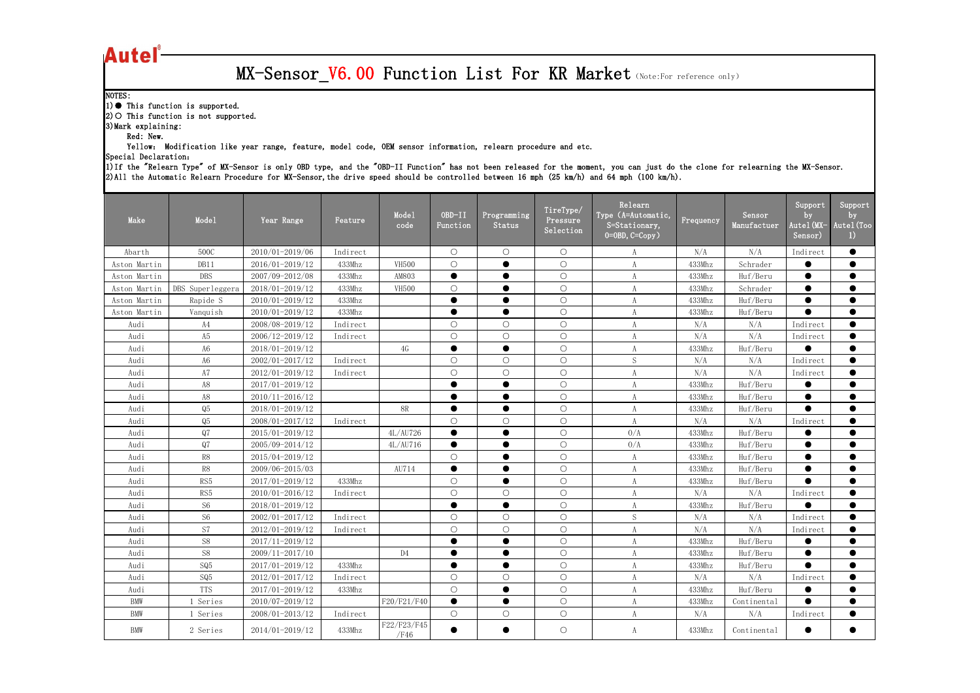## **Autel**

## MX-Sensor\_V6.00 Function List For KR Market (Note:For reference only)

| Make         | Mode1               | Year Range      | Feature  | Mode1<br>code       | OBD-II<br>Function | Programming<br>Status | TireType/<br>Pressure<br>Selection | Relearn<br>Type (A=Automatic,<br>$S = \frac{S}{\text{Stationary}}$<br>$0=0BD, C=Copy$ ) | Frequency | Sensor<br>Manufactuer | $S$ upport<br>by<br>Autel(MX-<br>Sensor) | Support<br>by<br>Autel (Too<br>I) |
|--------------|---------------------|-----------------|----------|---------------------|--------------------|-----------------------|------------------------------------|-----------------------------------------------------------------------------------------|-----------|-----------------------|------------------------------------------|-----------------------------------|
| Abarth       | 500C                | 2010/01-2019/06 | Indirect |                     | $\bigcirc$         | $\bigcirc$            | $\bigcirc$                         | A                                                                                       | N/A       | N/A                   | Indirect                                 | ●                                 |
| Aston Martin | DB11                | 2016/01-2019/12 | 433Mhz   | <b>VH500</b>        | $\bigcirc$         | $\bullet$             | $\bigcirc$                         | $\boldsymbol{A}$                                                                        | 433Mhz    | Schrader              | $\bullet$                                | $\bullet$                         |
| Aston Martin | <b>DBS</b>          | 2007/09-2012/08 | 433Mhz   | AM803               | $\bullet$          | $\bullet$             | $\bigcirc$                         | $\boldsymbol{A}$                                                                        | 433Mhz    | Huf/Beru              | $\bullet$                                | $\bullet$                         |
| Aston Martin | DBS Superleggera    | 2018/01-2019/12 | 433Mhz   | <b>VH500</b>        | $\circ$            | $\bullet$             | $\bigcirc$                         | A                                                                                       | 433Mhz    | Schrader              | $\bullet$                                | $\bullet$                         |
| Aston Martin | Rapide S            | 2010/01-2019/12 | 433Mhz   |                     | $\bullet$          | $\bullet$             | $\bigcirc$                         |                                                                                         | 433Mhz    | Huf/Beru              | $\bullet$                                | ●                                 |
| Aston Martin | Vanquish            | 2010/01-2019/12 | 433Mhz   |                     |                    |                       | $\bigcirc$                         |                                                                                         | 433Mhz    | Huf/Beru              | $\bullet$                                | $\bullet$                         |
| Audi         | A4                  | 2008/08-2019/12 | Indirect |                     | $\bigcirc$         | $\bigcirc$            | $\bigcirc$                         | $\boldsymbol{A}$                                                                        | N/A       | N/A                   | Indirect                                 | $\bullet$                         |
| Audi         | A5                  | 2006/12-2019/12 | Indirect |                     | $\bigcirc$         | $\bigcirc$            | $\bigcirc$                         | $\boldsymbol{A}$                                                                        | N/A       | N/A                   | Indirect                                 | $\bullet$                         |
| Audi         | A6                  | 2018/01-2019/12 |          | 4G                  | $\bullet$          | $\bullet$             | $\bigcirc$                         | A                                                                                       | 433Mhz    | Huf/Beru              | $\bullet$                                | $\bullet$                         |
| Audi         | A6                  | 2002/01-2017/12 | Indirect |                     | $\bigcirc$         | $\bigcirc$            | $\bigcirc$                         | ${\mathcal S}$                                                                          | N/A       | N/A                   | Indirect                                 | ●                                 |
| Audi         | A7                  | 2012/01-2019/12 | Indirect |                     | $\bigcirc$         | $\bigcirc$            | $\bigcirc$                         | $\boldsymbol{A}$                                                                        | N/A       | N/A                   | Indirect                                 | $\bullet$                         |
| Audi         | A8                  | 2017/01-2019/12 |          |                     |                    | $\bullet$             | $\bigcirc$                         | $\boldsymbol{A}$                                                                        | 433Mhz    | Huf/Beru              | $\bullet$                                | $\bullet$                         |
| Audi         | A8                  | 2010/11-2016/12 |          |                     | $\bullet$          | $\bullet$             | $\bigcirc$                         | A                                                                                       | 433Mhz    | Huf/Beru              | $\bullet$                                | $\bullet$                         |
| Audi         | $\operatorname{Q5}$ | 2018/01-2019/12 |          | <b>8R</b>           | $\bullet$          | $\bullet$             | $\bigcirc$                         | $\boldsymbol{A}$                                                                        | 433Mhz    | Huf/Beru              | $\bullet$                                | $\bullet$                         |
| Audi         | Q5                  | 2008/01-2017/12 | Indirect |                     | $\bigcirc$         | $\bigcirc$            | $\bigcirc$                         | $\boldsymbol{A}$                                                                        | N/A       | N/A                   | Indirect                                 | $\bullet$                         |
| Audi         | Q7                  | 2015/01-2019/12 |          | 4L/AU726            | $\bullet$          | $\bullet$             | $\bigcirc$                         | 0/A                                                                                     | 433Mhz    | Huf/Beru              | $\bullet$                                | $\bullet$                         |
| Audi         | Q7                  | 2005/09-2014/12 |          | 4L/AU716            | $\bullet$          | $\bullet$             | $\bigcirc$                         | 0/A                                                                                     | 433Mhz    | Huf/Beru              | $\bullet$                                | $\bullet$                         |
| Audi         | ${\sf R8}$          | 2015/04-2019/12 |          |                     | $\bigcirc$         | $\bullet$             | $\bigcirc$                         | $\rm A$                                                                                 | 433Mhz    | Huf/Beru              | $\bullet$                                | $\bullet$                         |
| Audi         | ${\sf R8}$          | 2009/06-2015/03 |          | AU714               | $\bullet$          | $\bullet$             | $\bigcirc$                         | $\boldsymbol{A}$                                                                        | 433Mhz    | Huf/Beru              | $\bullet$                                | $\bullet$                         |
| Audi         | RS5                 | 2017/01-2019/12 | 433Mhz   |                     | $\bigcirc$         | $\bullet$             | $\bigcirc$                         | A                                                                                       | 433Mhz    | Huf/Beru              | $\bullet$                                | $\bullet$                         |
| Audi         | RS5                 | 2010/01-2016/12 | Indirect |                     | $\bigcirc$         | $\bigcirc$            | $\bigcirc$                         | $\boldsymbol{A}$                                                                        | N/A       | N/A                   | Indirect                                 | $\bullet$                         |
| Audi         | S <sub>6</sub>      | 2018/01-2019/12 |          |                     |                    | $\bullet$             | $\bigcirc$                         |                                                                                         | 433Mhz    | Huf/Beru              |                                          | $\bullet$                         |
| Audi         | S <sub>6</sub>      | 2002/01-2017/12 | Indirect |                     | $\bigcirc$         | $\bigcirc$            | $\bigcirc$                         | $\mathbf S$                                                                             | N/A       | N/A                   | Indirect                                 | ●                                 |
| Audi         | S7                  | 2012/01-2019/12 | Indirect |                     | $\bigcirc$         | $\bigcirc$            | $\bigcirc$                         | A                                                                                       | N/A       | N/A                   | Indirect                                 | $\bullet$                         |
| Audi         | <b>S8</b>           | 2017/11-2019/12 |          |                     | $\bullet$          | ●                     | $\bigcirc$                         | A                                                                                       | 433Mhz    | Huf/Beru              | $\bullet$                                | $\bullet$                         |
| Audi         | ${\rm S}8$          | 2009/11-2017/10 |          | D4                  |                    |                       | $\bigcirc$                         |                                                                                         | 433Mhz    | Huf/Beru              |                                          |                                   |
| Audi         | SQ5                 | 2017/01-2019/12 | 433Mhz   |                     | $\bullet$          | $\bullet$             | $\bigcirc$                         | A                                                                                       | 433Mhz    | Huf/Beru              | $\bullet$                                | $\bullet$                         |
| Audi         | $\mathsf{SQ}5$      | 2012/01-2017/12 | Indirect |                     | $\bigcirc$         | $\bigcirc$            | $\bigcirc$                         | A                                                                                       | N/A       | N/A                   | Indirect                                 | $\bullet$                         |
| Audi         | <b>TTS</b>          | 2017/01-2019/12 | 433Mhz   |                     | $\bigcirc$         | $\bullet$             | $\bigcirc$                         | A                                                                                       | 433Mhz    | Huf/Beru              | $\bullet$                                | $\bullet$                         |
| <b>BMW</b>   | Series              | 2010/07-2019/12 |          | F20/F21/F40         | $\bullet$          | $\bullet$             | $\bigcirc$                         | A                                                                                       | 433Mhz    | Continental           | $\bullet$                                | $\bullet$                         |
| <b>BMW</b>   | Series              | 2008/01-2013/12 | Indirect |                     | $\bigcirc$         | $\bigcirc$            | $\bigcirc$                         | A                                                                                       | N/A       | N/A                   | Indirect                                 | $\bullet$                         |
| BMW          | 2 Series            | 2014/01-2019/12 | 433Mhz   | F22/F23/F45<br>/F46 | $\bullet$          | $\bullet$             | $\bigcirc$                         | A                                                                                       | 433Mhz    | Continental           | $\bullet$                                | $\bullet$                         |

|  | elearning the MX-Sensor. |
|--|--------------------------|

1)If the "Relearn Type" of MX-Sensor is only OBD type, and the "OBD-II Function" has not been released for the moment, you can just do the clone for relearning the MX-Sensor. 2)All the Automatic Relearn Procedure for MX-Sensor, the drive speed should be controlled between 16 mph (25 km/h) and 64 mph (100 km/h).

NOTES:

1) ● This function is supported.

2) O This function is not supported.

3)Mark explaining:

Red: New.

Yellow: Modification like year range, feature, model code, OEM sensor information, relearn procedure and etc.

Special Declaration: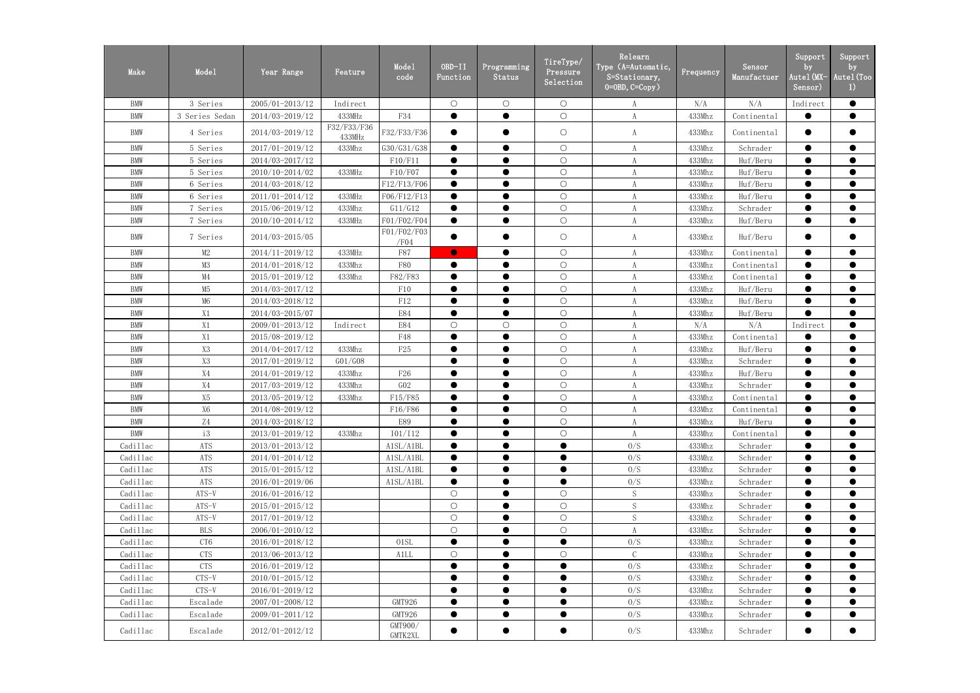| Make       | Mode1          | Year Range          | Feature               | Mode1<br>code       | OBD-II<br>Function | Programming<br>Status | TireType/<br>Pressure<br>Selection | Relearn<br>Type (A=Automatic,<br>S=Stationary,<br>$0 = 0$ BD, $C = Copy$ ) | Frequency | Sensor<br>Manufactuer | Support<br>by<br>Autel (MX-<br>Sensor) | Support<br>by<br>Autel (Too<br>$_{1}$ |
|------------|----------------|---------------------|-----------------------|---------------------|--------------------|-----------------------|------------------------------------|----------------------------------------------------------------------------|-----------|-----------------------|----------------------------------------|---------------------------------------|
| <b>BMW</b> | 3 Series       | 2005/01-2013/12     | Indirect              |                     | $\bigcirc$         | $\bigcirc$            | $\bigcirc$                         | A                                                                          | N/A       | N/A                   | Indirect                               | $\bullet$                             |
| <b>BMW</b> | 3 Series Sedan | 2014/03-2019/12     | 433MHz                | F34                 | $\bullet$          | $\bullet$             | $\bigcirc$                         | A                                                                          | 433Mhz    | Continental           | $\bullet$                              | $\bullet$                             |
| <b>BMW</b> | 4 Series       | 2014/03-2019/12     | F32/F33/F36<br>433MHz | F32/F33/F36         | $\bullet$          | $\bullet$             | $\bigcirc$                         | A                                                                          | 433Mhz    | Continental           | $\bullet$                              | $\bullet$                             |
| <b>BMW</b> | 5 Series       | 2017/01-2019/12     | 433Mhz                | G30/G31/G38         | $\bullet$          | $\bullet$             | $\bigcirc$                         | A                                                                          | 433Mhz    | Schrader              | $\bullet$                              | $\bullet$                             |
| <b>BMW</b> | 5 Series       | 2014/03-2017/12     |                       | F10/F11             |                    |                       | $\bigcirc$                         |                                                                            | 433Mhz    | Huf/Beru              |                                        | $\bullet$                             |
| <b>BMW</b> | 5 Series       | 2010/10-2014/02     | 433MHz                | F10/F07             | $\bullet$          |                       | $\bigcirc$                         | A                                                                          | 433Mhz    | Huf/Beru              | $\bullet$                              | $\bullet$                             |
| <b>BMW</b> | 6 Series       | 2014/03-2018/12     |                       | F12/F13/F06         |                    |                       | $\bigcirc$                         | A                                                                          | 433Mhz    | Huf/Beru              | $\bullet$                              | $\bullet$                             |
| <b>BMW</b> | 6 Series       | 2011/01-2014/12     | 433MHz                | F06/F12/F13         | $\bullet$          | $\bullet$             | $\bigcirc$                         | A                                                                          | 433Mhz    | Huf/Beru              | $\bullet$                              | $\bullet$                             |
| <b>BMW</b> | 7 Series       | 2015/06-2019/12     | 433Mhz                | G11/G12             |                    |                       | $\bigcirc$                         | A                                                                          | 433Mhz    | Schrader              | $\bullet$                              | $\bullet$                             |
| <b>BMW</b> | 7 Series       | 2010/10-2014/12     | 433MHz                | F01/F02/F04         | $\bullet$          | $\bullet$             | $\bigcirc$                         | A                                                                          | 433Mhz    | Huf/Beru              | $\bullet$                              | $\bullet$                             |
| <b>BMW</b> | 7 Series       | 2014/03-2015/05     |                       | F01/F02/F03<br>/F04 |                    |                       | $\bigcirc$                         | A                                                                          | 433Mhz    | Huf/Beru              | $\bullet$                              | $\bullet$                             |
| <b>BMW</b> | M2             | 2014/11-2019/12     | 433MHz                | F87                 | $\bullet$          |                       | $\bigcirc$                         | A                                                                          | 433Mhz    | Continental           | $\bullet$                              | $\bullet$                             |
| <b>BMW</b> | M3             | 2014/01-2018/12     | 433Mhz                | <b>F80</b>          | $\bullet$          | $\bullet$             | $\bigcirc$                         | A                                                                          | 433Mhz    | Continental           | $\bullet$                              | $\bullet$                             |
| <b>BMW</b> | M4             | 2015/01-2019/12     | 433Mhz                | F82/F83             |                    |                       | $\bigcirc$                         | A                                                                          | 433Mhz    | Continental           | $\bullet$                              | $\bullet$                             |
| <b>BMW</b> | M5             | 2014/03-2017/12     |                       | F10                 | $\bullet$          | $\bullet$             | $\bigcirc$                         | A                                                                          | 433Mhz    | Huf/Beru              | $\bullet$                              | $\bullet$                             |
| <b>BMW</b> | M <sub>6</sub> | 2014/03-2018/12     |                       | F12                 | $\bullet$          | $\bullet$             | $\bigcirc$                         | A                                                                          | 433Mhz    | Huf/Beru              | $\bullet$                              | $\bullet$                             |
| <b>BMW</b> | X1             | 2014/03-2015/07     |                       | <b>E84</b>          |                    | $\bullet$             | $\bigcirc$                         | A                                                                          | 433Mhz    | Huf/Beru              | $\bullet$                              | $\bullet$                             |
| <b>BMW</b> | X1             | 2009/01-2013/12     | Indirect              | E84                 | $\bigcirc$         | $\bigcirc$            | $\bigcirc$                         | A                                                                          | N/A       | N/A                   | Indirect                               | $\bullet$                             |
| <b>BMW</b> | X1             | 2015/08-2019/12     |                       | F48                 |                    |                       | $\bigcirc$                         | A                                                                          | 433Mhz    | Continental           |                                        | $\bullet$                             |
| <b>BMW</b> | Χ3             | 2014/04-2017/12     | 433Mhz                | F25                 | $\bullet$          | $\bullet$             | $\bigcirc$                         | A                                                                          | 433Mhz    | Huf/Beru              | $\bullet$                              | $\bullet$                             |
| <b>BMW</b> | $\mathrm{X}3$  | 2017/01-2019/12     | G01/G08               |                     |                    | $\bullet$             | $\bigcirc$                         | A                                                                          | 433Mhz    | Schrader              | $\bullet$                              | $\bullet$                             |
| <b>BMW</b> | X4             | 2014/01-2019/12     | 433Mhz                | F <sub>26</sub>     | $\bullet$          | $\bullet$             | $\bigcirc$                         | A                                                                          | 433Mhz    | Huf/Beru              | $\bullet$                              | $\bullet$                             |
| <b>BMW</b> | X4             | 2017/03-2019/12     | 433Mhz                | GO2                 | $\bullet$          | $\bullet$             | $\bigcirc$                         | A                                                                          | 433Mhz    | Schrader              | $\bullet$                              | $\bullet$                             |
| <b>BMW</b> | X5             | 2013/05-2019/12     | 433Mhz                | F15/F85             | $\bullet$          | $\bullet$             | $\bigcirc$                         | A                                                                          | 433Mhz    | Continental           | $\bullet$                              | $\bullet$                             |
| <b>BMW</b> | X <sub>6</sub> | 2014/08-2019/12     |                       | F16/F86             | $\bullet$          |                       | $\bigcirc$                         | A                                                                          | 433Mhz    | Continental           | $\bullet$                              | $\bullet$                             |
| <b>BMW</b> | Z4             | 2014/03-2018/12     |                       | E89                 | $\bullet$          | $\bullet$             | $\circ$                            | A                                                                          | 433Mhz    | Huf/Beru              | $\bullet$                              | $\bullet$                             |
| <b>BMW</b> | i3             | 2013/01-2019/12     | 433Mhz                | 101/112             |                    | $\bullet$             | $\bigcirc$                         | $\mathbf{A}$                                                               | 433Mhz    | Continental           | $\bullet$                              | $\bullet$                             |
| Cadillac   | <b>ATS</b>     | 2013/01-2013/12     |                       | A1SL/A1BL           |                    | $\bullet$             | $\bullet$                          | 0/S                                                                        | 433Mhz    | Schrader              |                                        | $\bullet$                             |
| Cadillac   | ATS            | 2014/01-2014/12     |                       | A1SL/A1BL           | $\bullet$          | $\bullet$             | $\bullet$                          | 0/S                                                                        | 433Mhz    | Schrader              | $\bullet$                              | $\bullet$                             |
| Cadillac   | ATS            | 2015/01-2015/12     |                       | A1SL/A1BL           |                    | $\bullet$             | $\bullet$                          | 0/S                                                                        | 433Mhz    | Schrader              | $\bullet$                              | $\bullet$                             |
| Cadillac   | ATS            | 2016/01-2019/06     |                       | A1SL/A1BL           | $\bullet$          | $\bullet$             | $\bullet$                          | 0/S                                                                        | 433Mhz    | Schrader              | $\bullet$                              | $\bullet$                             |
| Cadillac   | $ATS-V$        | 2016/01-2016/12     |                       |                     | $\bigcirc$         | $\bullet$             | $\bigcirc$                         | S                                                                          | 433Mhz    | Schrader              | $\bullet$                              | $\bullet$                             |
| Cadillac   | $ATS-V$        | $2015/01 - 2015/12$ |                       |                     | $\bigcirc$         | $\bullet$             | $\bigcirc$                         | ${\mathcal S}$                                                             | 433Mhz    | Schrader              | $\bullet$                              | $\bullet$                             |
| Cadillac   | $ATS-V$        | 2017/01-2019/12     |                       |                     | $\bigcirc$         | $\bullet$             | $\bigcirc$                         | $\mathbf S$                                                                | 433Mhz    | Schrader              | $\bullet$                              | $\bullet$                             |
| Cadillac   | <b>BLS</b>     | $2006/01 - 2010/12$ |                       |                     | $\bigcirc$         | $\bullet$             | $\bigcirc$                         | A                                                                          | 433Mhz    | Schrader              |                                        | $\bullet$                             |
| Cadillac   | CT6            | 2016/01-2018/12     |                       | 01SL                | $\bullet$          | $\bullet$             | $\bullet$                          | 0/S                                                                        | 433Mhz    | Schrader              | $\bullet$                              | $\bullet$                             |
| Cadillac   | CTS            | 2013/06-2013/12     |                       | <b>A1LL</b>         | $\bigcirc$         | $\bullet$             | $\bigcirc$                         | $\mathsf C$                                                                | 433Mhz    | Schrader              | $\bullet$                              | $\bullet$                             |
| Cadillac   | <b>CTS</b>     | 2016/01-2019/12     |                       |                     | $\bullet$          | $\bullet$             | $\bullet$                          | 0/S                                                                        | 433Mhz    | Schrader              | $\bullet$                              | $\bullet$                             |
| Cadillac   | $CTS-V$        | $2010/01 - 2015/12$ |                       |                     |                    | $\bullet$             | $\bullet$                          | 0/S                                                                        | 433Mhz    | Schrader              | $\bullet$                              | $\bullet$                             |
| Cadillac   | $CTS-V$        | 2016/01-2019/12     |                       |                     |                    | $\bullet$             | $\bullet$                          | 0/S                                                                        | 433Mhz    | Schrader              | $\bullet$                              | $\bullet$                             |
| Cadillac   | Escalade       | 2007/01-2008/12     |                       | GMT926              | $\bullet$          | $\bullet$             | $\bullet$                          | 0/S                                                                        | 433Mhz    | Schrader              | $\bullet$                              | $\bullet$                             |
| Cadillac   | Escalade       | $2009/01 - 2011/12$ |                       | GMT926              | $\bullet$          | $\bullet$             | $\bullet$                          | 0/S                                                                        | 433Mhz    | Schrader              | $\bullet$                              | $\bullet$                             |
| Cadillac   | Escalade       | 2012/01-2012/12     |                       | GMT900/<br>GMTK2XL  | $\bullet$          | $\bullet$             | $\bullet$                          | 0/S                                                                        | 433Mhz    | Schrader              | $\bullet$                              | $\bullet$                             |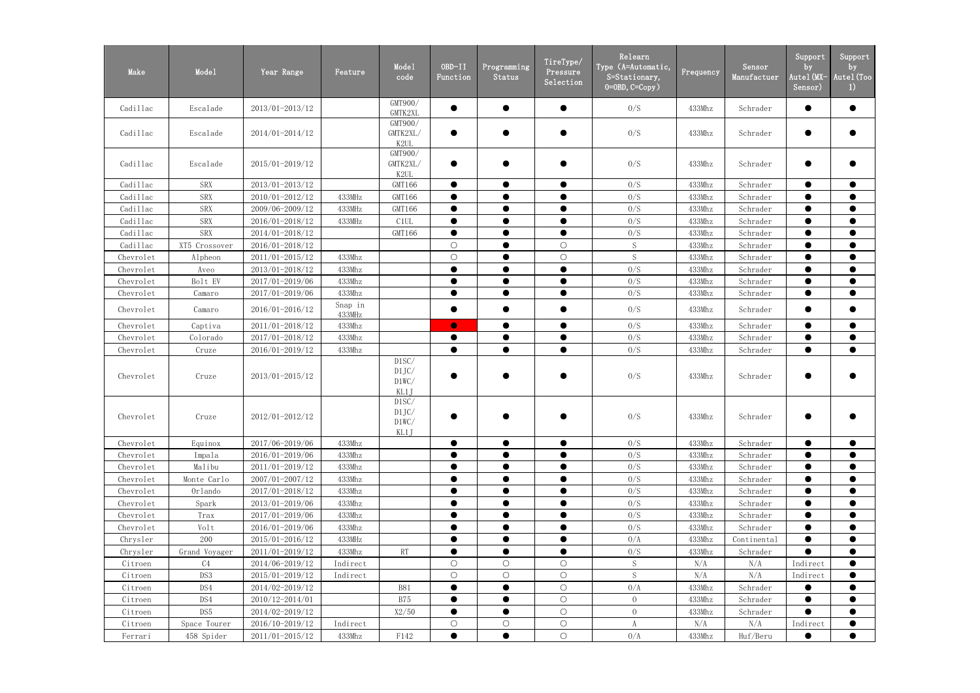| Make      | Mode1         | Year Range          | Feature           | Mode1<br>code                            | OBD-II<br>Function | Programming<br>Status | TireType/<br>Pressure<br>Selection | Relearn<br>Type (A=Automatic,<br>$S = \frac{Statinary}{s}$<br>$0 = 0$ BD, $C = Copy$ ) | Frequency | Sensor<br>Manufactuer | Support<br>by<br>Autel(MX-<br>Sensor) | Support<br>by<br>Autel (Too<br>$_{1}$ |
|-----------|---------------|---------------------|-------------------|------------------------------------------|--------------------|-----------------------|------------------------------------|----------------------------------------------------------------------------------------|-----------|-----------------------|---------------------------------------|---------------------------------------|
| Cadillac  | Escalade      | 2013/01-2013/12     |                   | GMT900/<br>GMTK2XL                       | $\bullet$          | $\bullet$             | $\bullet$                          | 0/S                                                                                    | 433Mhz    | Schrader              | $\bullet$                             | $\bullet$                             |
| Cadillac  | Escalade      | 2014/01-2014/12     |                   | GMT900/<br>GMTK2XL/<br>K <sub>2</sub> UL | $\bullet$          |                       | $\bullet$                          | 0/S                                                                                    | 433Mhz    | Schrader              |                                       | ●                                     |
| Cadillac  | Escalade      | 2015/01-2019/12     |                   | GMT900/<br>GMTK2XL/<br>K <sub>2</sub> UL |                    |                       | $\bullet$                          | 0/S                                                                                    | 433Mhz    | Schrader              |                                       | ●                                     |
| Cadillac  | <b>SRX</b>    | 2013/01-2013/12     |                   | GMT166                                   | $\bullet$          | $\bullet$             | $\bullet$                          | 0/S                                                                                    | 433Mhz    | Schrader              | $\bullet$                             | $\bullet$                             |
| Cadillac  | <b>SRX</b>    | 2010/01-2012/12     | 433MHz            | GMT166                                   | $\bullet$          | $\bullet$             | $\bullet$                          | 0/S                                                                                    | 433Mhz    | Schrader              | $\bullet$                             | $\bullet$                             |
| Cadillac  | <b>SRX</b>    | 2009/06-2009/12     | 433MHz            | GMT166                                   | $\bullet$          | $\bullet$             | $\bullet$                          | 0/S                                                                                    | 433Mhz    | Schrader              | $\bullet$                             | $\bullet$                             |
| Cadillac  | <b>SRX</b>    | 2016/01-2018/12     | 433MHz            | C <sub>1</sub> UL                        | $\bullet$          | $\bullet$             | $\bullet$                          | 0/S                                                                                    | 433Mhz    | Schrader              | $\bullet$                             | $\bullet$                             |
| Cadillac  | <b>SRX</b>    | 2014/01-2018/12     |                   | GMT166                                   | $\bullet$          | $\bullet$             | $\bullet$                          | 0/S                                                                                    | 433Mhz    | Schrader              | $\bullet$                             | $\bullet$                             |
| Cadillac  | XT5 Crossover | 2016/01-2018/12     |                   |                                          | $\bigcirc$         | $\bullet$             | $\bigcirc$                         | S                                                                                      | 433Mhz    | Schrader              | $\bullet$                             | $\bullet$                             |
| Chevrolet | Alpheon       | 2011/01-2015/12     | 433Mhz            |                                          | $\bigcirc$         | $\bullet$             | $\bigcirc$                         | S                                                                                      | 433Mhz    | Schrader              | $\bullet$                             | $\bullet$                             |
| Chevrolet | Aveo          | 2013/01-2018/12     | 433Mhz            |                                          | $\bullet$          | $\bullet$             | $\bullet$                          | 0/S                                                                                    | 433Mhz    | Schrader              | $\bullet$                             | $\bullet$                             |
| Chevrolet | Bolt EV       | 2017/01-2019/06     | 433Mhz            |                                          | $\bullet$          | $\bullet$             | $\bullet$                          | 0/S                                                                                    | 433Mhz    | Schrader              | $\bullet$                             | $\bullet$                             |
| Chevrolet | Camaro        | 2017/01-2019/06     | 433Mhz            |                                          | $\bullet$          | $\bullet$             | $\bullet$                          | 0/S                                                                                    | 433Mhz    | Schrader              | $\bullet$                             | $\bullet$                             |
| Chevrolet | Camaro        | 2016/01-2016/12     | Snap in<br>433MHz |                                          | $\bullet$          | $\bullet$             | $\bullet$                          | 0/S                                                                                    | 433Mhz    | Schrader              | $\bullet$                             | $\bullet$                             |
| Chevrolet | Captiva       | 2011/01-2018/12     | 433Mhz            |                                          | $\bullet$          | $\bullet$             | $\bullet$                          | 0/S                                                                                    | 433Mhz    | Schrader              | $\bullet$                             | $\bullet$                             |
| Chevrolet | Colorado      | 2017/01-2018/12     | 433Mhz            |                                          | $\bullet$          | $\bullet$             | $\bullet$                          | 0/S                                                                                    | 433Mhz    | Schrader              | $\bullet$                             | $\bullet$                             |
| Chevrolet | Cruze         | 2016/01-2019/12     | 433Mhz            |                                          | $\bullet$          | $\bullet$             | $\bullet$                          | 0/S                                                                                    | 433Mhz    | Schrader              | $\bullet$                             | $\bullet$                             |
| Chevrolet | Cruze         | 2013/01-2015/12     |                   | D1SC/<br>D1JC/<br>D1WC/<br>KL1J          |                    |                       | ●                                  | 0/S                                                                                    | 433Mhz    | Schrader              |                                       |                                       |
| Chevrolet | Cruze         | 2012/01-2012/12     |                   | D1SC/<br>D1JC/<br>D1WC/<br>KL1J          |                    |                       |                                    | 0/S                                                                                    | 433Mhz    | Schrader              |                                       |                                       |
| Chevrolet | Equinox       | 2017/06-2019/06     | 433Mhz            |                                          | $\bullet$          | $\bullet$             | $\bullet$                          | 0/S                                                                                    | 433Mhz    | Schrader              | $\bullet$                             | $\bullet$                             |
| Chevrolet | Impala        | 2016/01-2019/06     | 433Mhz            |                                          |                    |                       |                                    | 0/S                                                                                    | 433Mhz    | Schrader              |                                       |                                       |
| Chevrolet | Malibu        | 2011/01-2019/12     | 433Mhz            |                                          | $\bullet$          | $\bullet$             | $\bullet$                          | 0/S                                                                                    | 433Mhz    | Schrader              | $\bullet$                             | $\bullet$                             |
| Chevrolet | Monte Carlo   | $2007/01 - 2007/12$ | 433Mhz            |                                          | $\bullet$          | $\bullet$             | $\bullet$                          | 0/S                                                                                    | 433Mhz    | Schrader              | $\bullet$                             | $\bullet$                             |
| Chevrolet | Orlando       | 2017/01-2018/12     | 433Mhz            |                                          | $\bullet$          |                       | $\bullet$                          | 0/S                                                                                    | 433Mhz    | Schrader              |                                       |                                       |
| Chevrolet | Spark         | 2013/01-2019/06     | 433Mhz            |                                          | $\bullet$          |                       | $\bullet$                          | 0/S                                                                                    | 433Mhz    | Schrader              | $\bullet$                             | $\bullet$                             |
| Chevrolet | Trax          | 2017/01-2019/06     | 433Mhz            |                                          | $\bullet$          |                       | $\bullet$                          | 0/S                                                                                    | 433Mhz    | Schrader              | $\bullet$                             |                                       |
| Chevrolet | Volt          | 2016/01-2019/06     | 433Mhz            |                                          | $\bullet$          | $\bullet$             | $\bullet$                          | 0/S                                                                                    | 433Mhz    | Schrader              | $\bullet$                             | $\bullet$                             |
| Chrysler  | 200           | 2015/01-2016/12     | 433MHz            |                                          |                    |                       |                                    | 0/A                                                                                    | 433Mhz    | Continental           |                                       |                                       |
| Chrysler  | Grand Voyager | 2011/01-2019/12     | 433Mhz            | RT                                       | $\bullet$          | $\bullet$             | $\bullet$                          | 0/S                                                                                    | 433Mhz    | Schrader              | $\bullet$                             | $\bullet$                             |
| Citroen   | C4            | 2014/06-2019/12     | Indirect          |                                          | $\bigcirc$         | $\bigcirc$            | $\bigcirc$                         | S                                                                                      | N/A       | N/A                   | Indirect                              |                                       |
| Citroen   | DS3           | 2015/01-2019/12     | Indirect          |                                          | $\bigcirc$         | $\bigcirc$            | $\bigcirc$                         | S                                                                                      | N/A       | N/A                   | Indirect                              | $\bullet$                             |
| Citroen   | DS4           | 2014/02-2019/12     |                   | <b>B81</b>                               | $\bullet$          | $\bullet$             | $\bigcirc$                         | 0/A                                                                                    | 433Mhz    | Schrader              |                                       | $\bullet$                             |
| Citroen   | DS4           | 2010/12-2014/01     |                   | <b>B75</b>                               | $\bullet$          |                       | $\bigcirc$                         | $\overline{0}$                                                                         | 433Mhz    | Schrader              |                                       |                                       |
| Citroen   | DS5           | 2014/02-2019/12     |                   | X2/50                                    | $\bullet$          |                       | $\bigcirc$                         | $\overline{0}$                                                                         | 433Mhz    | Schrader              | $\bullet$                             | $\bullet$                             |
| Citroen   | Space Tourer  | 2016/10-2019/12     | Indirect          |                                          | $\bigcirc$         | $\bigcirc$            | $\bigcirc$                         | $\boldsymbol{A}$                                                                       | N/A       | N/A                   | Indirect                              | $\bullet$                             |
| Ferrari   | 458 Spider    | 2011/01-2015/12     | 433Mhz            | F142                                     | $\bullet$          |                       | $\bigcirc$                         | 0/A                                                                                    | 433Mhz    | Huf/Beru              | $\bullet$                             | $\bullet$                             |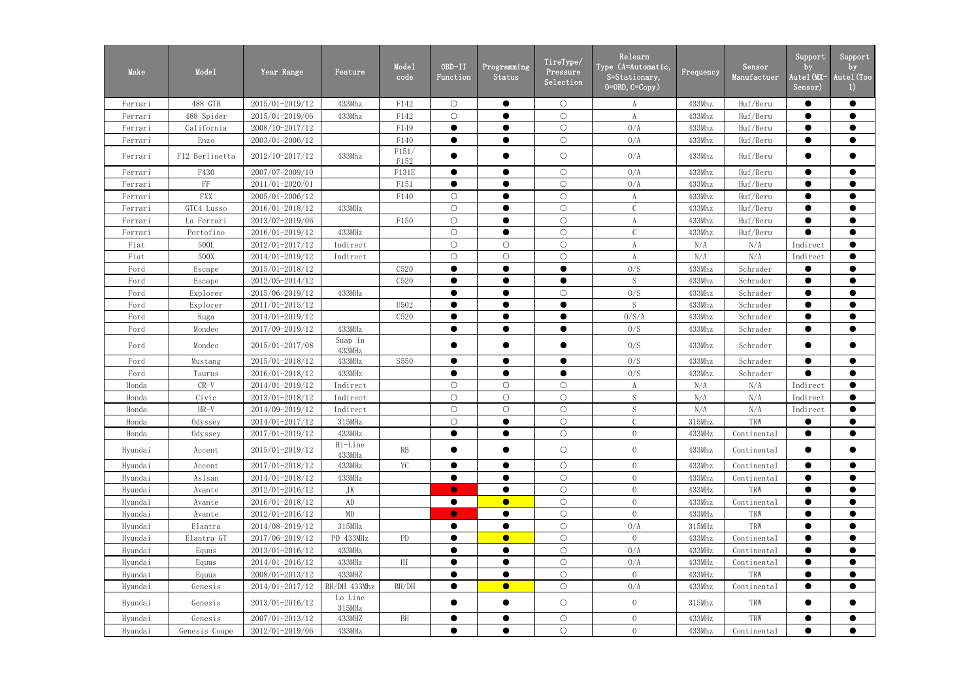| 488 GTB<br>2015/01-2019/12<br>433Mhz<br>$\bigcirc$<br>$\bullet$<br>$\bigcirc$<br>433Mhz<br>Huf/Beru<br>$\bullet$<br>F142<br>$\bullet$<br>A<br>Ferrari<br>$\bigcirc$<br>$\bigcirc$<br>2015/01-2019/06<br>433Mhz<br>F142<br>$\bullet$<br>433Mhz<br>Huf/Beru<br>$\bullet$<br>$\bullet$<br>488 Spider<br>A<br>Ferrari<br>$\bigcirc$<br>$\bullet$<br>0/A<br>$\bullet$<br>2008/10-2017/12<br>F149<br>433Mhz<br>Huf/Beru<br>$\bullet$<br>California<br>$\bullet$<br>Ferrari<br>$\bigcirc$<br>$\bullet$<br>2003/01-2006/12<br>F140<br>$\bullet$<br>0/A<br>Huf/Beru<br>Enzo<br>433Mhz<br>$\bullet$<br>$\bullet$<br>Ferrari<br>F151/<br>0/A<br>$\bigcirc$<br>433Mhz<br>$\bullet$<br>F12 Berlinetta<br>2012/10-2017/12<br>433Mhz<br>Huf/Beru<br>$\bullet$<br>$\bullet$<br>Ferrari<br>F152<br>$\bigcirc$<br>0/A<br>F430<br>2007/07-2009/10<br>F131E<br>$\bullet$<br>433Mhz<br>Huf/Beru<br>$\bullet$<br>$\bullet$<br>$\bullet$<br>Ferrari<br>$\bigcirc$<br>$\rm FF$<br>0/A<br>$\bullet$<br>2011/01-2020/01<br>F151<br>433Mhz<br>Huf/Beru<br>$\bullet$<br>$\bullet$<br>$\bullet$<br>Ferrari<br><b>FXX</b><br>$\bigcirc$<br>2005/01-2006/12<br>$\bigcirc$<br>$\bullet$<br>433Mhz<br>Huf/Beru<br>$\bullet$<br>$\bullet$<br>F140<br>$\rm A$<br>Ferrari<br>$\bigcirc$<br>$\bigcirc$<br>Huf/Beru<br>$\bullet$<br>GTC4 Lusso<br>2016/01-2018/12<br>433MHz<br>$\bullet$<br>433Mhz<br>$\bullet$<br>Ferrari<br>2013/07-2019/06<br>$\bigcirc$<br>$\bigcirc$<br>F150<br>$\bullet$<br>433Mhz<br>Huf/Beru<br>$\bullet$<br>La Ferrari<br>$\bullet$<br>A<br>Ferrari<br>$\bigcirc$<br>$\mathcal{C}$<br>$\bullet$<br>433MHz<br>$\bigcirc$<br>$\bullet$<br>433Mhz<br>$\bullet$<br>2016/01-2019/12<br>Huf/Beru<br>Portofino<br>Ferrari<br>$\bigcirc$<br>$\bigcirc$<br>500L<br>2012/01-2017/12<br>$\bigcirc$<br>N/A<br>N/A<br>$\bullet$<br>Fiat<br>Indirect<br>Indirect<br>A<br>$\bigcirc$<br>$\bigcirc$<br>$\bigcirc$<br>$\bullet$<br>500X<br>2014/01-2019/12<br>A<br>N/A<br>N/A<br>Fiat<br>Indirect<br>Indirect<br>2015/01-2018/12<br>C520<br>$\bullet$<br>$\bullet$<br>0/S<br>433Mhz<br>Schrader<br>$\bullet$<br>$\bullet$<br>Ford<br>Escape<br>$\mathbf S$<br>$\bullet$<br>$\bullet$<br>2012/05-2014/12<br>C520<br>$\bullet$<br>433Mhz<br>$\bullet$<br>$\bullet$<br>Schrader<br>Ford<br>Escape<br>0/S<br>$\bigcirc$<br>433Mhz<br>$\bullet$<br>2015/06-2019/12<br>$\bullet$<br>Schrader<br>$\bullet$<br>Ford<br>Explorer<br>433MHz<br>S<br>2011/01-2015/12<br>U502<br>$\bullet$<br>433Mhz<br>$\bullet$<br>Ford<br>$\bullet$<br>$\bullet$<br>Schrader<br>$\bullet$<br>Explorer<br>0/S/A<br>$\bullet$<br>2014/01-2019/12<br>$\bullet$<br>C520<br>433Mhz<br>Schrader<br>$\bullet$<br>Ford<br>Kuga<br>0/S<br>2017/09-2019/12<br>433MHz<br>$\bullet$<br>$\bullet$<br>433Mhz<br>Schrader<br>$\bullet$<br>Ford<br>Mondeo<br>$\bullet$<br>$\bullet$<br>Snap in<br>0/S<br>2015/01-2017/08<br>$\bullet$<br>$\bullet$<br>433Mhz<br>Schrader<br>$\bullet$<br>Ford<br>Mondeo<br>$\bullet$<br>433MHz<br>0/S<br>2015/01-2018/12<br>S550<br>433Mhz<br>Schrader<br>Ford<br>433MHz<br>$\bullet$<br>$\bullet$<br>$\bullet$<br>$\bullet$<br>Mustang<br>2016/01-2018/12<br>$\bullet$<br>$\bullet$<br>0/S<br>$\bullet$<br>Ford<br>Taurus<br>433MHz<br>433Mhz<br>Schrader<br>$\bullet$<br>$\bullet$<br>$\bigcirc$<br>$\bigcirc$<br>$\bigcirc$<br>N/A<br>$\bullet$<br>$CR-V$<br>2014/01-2019/12<br>$\boldsymbol{A}$<br>N/A<br>Indirect<br>Honda<br>Indirect<br>$\bigcirc$<br>$\bigcirc$<br>$\bigcirc$<br>${\mathcal S}$<br>$\bullet$<br>Civic<br>2013/01-2018/12<br>N/A<br>N/A<br>Honda<br>Indirect<br>Indirect<br>$\bigcirc$<br>S<br>$\circ$<br>$\bigcirc$<br>$HR-V$<br>2014/09-2019/12<br>N/A<br>N/A<br>$\bullet$<br>Indirect<br>Honda<br>Indirect<br>2014/01-2017/12<br>$\bigcirc$<br>$\bigcirc$<br>$\mathcal{C}$<br>315Mhz<br>TRW<br>Honda<br>Odyssey<br>315MHz<br>$\bullet$<br>$\bullet$<br>$\bullet$<br>$\bigcirc$<br>2017/01-2019/12<br>433MHz<br>$\bullet$<br>$\overline{0}$<br>433MHz<br>$\bullet$<br>$\bullet$<br>Honda<br>$\bullet$<br>Odyssey<br>Continental<br>Hi-Line<br>RB<br>2015/01-2019/12<br>$\bigcirc$<br>$\overline{0}$<br>433Mhz<br>$\bullet$<br>Hyundai<br>Accent<br>Continental<br>$\bullet$<br>433MHz<br>YC<br>$\bigcirc$<br>$\overline{0}$<br>Hyundai<br>2017/01-2018/12<br>433MHz<br>433Mhz<br>Continental<br>$\bullet$<br>Accent<br>$\bullet$<br>$\bullet$<br>$\bigcirc$<br>2014/01-2018/12<br>$\bullet$<br>$\overline{0}$<br>433Mhz<br>$\bullet$<br>$\bullet$<br>Aslsan<br>433MHz<br>$\bullet$<br>Continental<br>Hyundai<br>$\bigcirc$<br>$\overline{0}$<br>TRW<br>$2012/01 - 2016/12$<br>JK<br>$\bullet$<br>433MHz<br>Hyundai<br>Avante<br>2016/01-2018/12<br>AD<br>$\bullet$<br>$\bigcirc$<br>$\overline{0}$<br>Continental<br>433Mhz<br>$\bullet$<br>$\bullet$<br>Hyundai<br>Avante<br>$\bullet$<br>$\bigcirc$<br>$\overline{0}$<br>$\bullet$<br>$\rm MD$<br>$\bullet$<br>$\bullet$<br>433MHz<br>TRW<br>$\bullet$<br>2012/01-2016/12<br>Avante<br>Hyundai<br>$\bigcirc$<br>2014/08-2019/12<br>0/A<br>315MHz<br>$\bullet$<br>315MHz<br>TRW<br>$\bullet$<br>$\bullet$<br>Hyundai<br>Elantra<br>$\bullet$<br>$\bigcirc$<br>PD<br>$\bullet$<br>$\overline{0}$<br>$\bullet$<br>2017/06-2019/12<br>PD 433MHz<br>433Mhz<br>Elantra GT<br>Continental<br>Hyundai<br>$\bigcirc$<br>$2013/01 - 2016/12$<br>433MHz<br>$\bullet$<br>0/A<br>433MHz<br>$\bullet$<br>Hyundai<br>Equus<br>$\bullet$<br>Continental<br>$\bullet$<br>$\bigcirc$<br>HI<br>$\bullet$<br>$2014/01 - 2016/12$<br>$\bullet$<br>0/A<br>$\bullet$<br>433MHz<br>433MHz<br>Hyundai<br>Equus<br>Continental<br>$\bigcirc$<br>$\overline{0}$<br>$\bullet$<br>433MHz<br>TRW<br>$\bullet$<br>2008/01-2013/12<br>433MHZ<br>$\bullet$<br>Hyundai<br>Equus<br>$\bigcirc$<br>O/A<br>2014/01-2017/12<br>BH/DH 433Mhz<br>BH/DH<br>$\bullet$<br>$\bullet$<br>$\bullet$<br>$\bullet$<br>433Mhz<br>Hyundai<br>Genesis<br>Continental<br>Lo Line<br>$\overline{0}$<br>TRW<br>2013/01-2016/12<br>$\bullet$<br>$\bigcirc$<br>$\bullet$<br>315Mhz<br>Hyundai<br>Genesis<br>$\bullet$<br>$\bullet$<br>315MHz<br>BH<br>$\bigcirc$<br>$\overline{0}$<br>TRW<br>$2007/01 - 2013/12$<br>433MHz<br>Hyundai<br>Genesis<br>433MHZ<br>$\bullet$<br>$\bullet$<br>$\bullet$<br>$\bullet$<br>$\bigcirc$<br>$\bullet$<br>$\bullet$<br>$\bullet$<br>2012/01-2019/06<br>433MHz<br>$\bullet$<br>$\overline{0}$<br>433Mhz<br>Hyundai<br>Continental<br>Genesis Coupe | Make | Mode1 | Year Range | Feature | Mode1<br>code | OBD-II<br>Function | Programming<br>Status | TireType/<br>Pressure<br>Selection | Relearn<br>Type (A=Automatic,<br>$S = \frac{Statinary}{s}$<br>$0=0$ BD, $C=Copy$ ) | Frequency | Sensor<br>Manufactuer | Support<br>by<br>Autel(MX-<br>Sensor) | Support<br>by<br>Autel (Too<br>$\left  \right $ |
|------------------------------------------------------------------------------------------------------------------------------------------------------------------------------------------------------------------------------------------------------------------------------------------------------------------------------------------------------------------------------------------------------------------------------------------------------------------------------------------------------------------------------------------------------------------------------------------------------------------------------------------------------------------------------------------------------------------------------------------------------------------------------------------------------------------------------------------------------------------------------------------------------------------------------------------------------------------------------------------------------------------------------------------------------------------------------------------------------------------------------------------------------------------------------------------------------------------------------------------------------------------------------------------------------------------------------------------------------------------------------------------------------------------------------------------------------------------------------------------------------------------------------------------------------------------------------------------------------------------------------------------------------------------------------------------------------------------------------------------------------------------------------------------------------------------------------------------------------------------------------------------------------------------------------------------------------------------------------------------------------------------------------------------------------------------------------------------------------------------------------------------------------------------------------------------------------------------------------------------------------------------------------------------------------------------------------------------------------------------------------------------------------------------------------------------------------------------------------------------------------------------------------------------------------------------------------------------------------------------------------------------------------------------------------------------------------------------------------------------------------------------------------------------------------------------------------------------------------------------------------------------------------------------------------------------------------------------------------------------------------------------------------------------------------------------------------------------------------------------------------------------------------------------------------------------------------------------------------------------------------------------------------------------------------------------------------------------------------------------------------------------------------------------------------------------------------------------------------------------------------------------------------------------------------------------------------------------------------------------------------------------------------------------------------------------------------------------------------------------------------------------------------------------------------------------------------------------------------------------------------------------------------------------------------------------------------------------------------------------------------------------------------------------------------------------------------------------------------------------------------------------------------------------------------------------------------------------------------------------------------------------------------------------------------------------------------------------------------------------------------------------------------------------------------------------------------------------------------------------------------------------------------------------------------------------------------------------------------------------------------------------------------------------------------------------------------------------------------------------------------------------------------------------------------------------------------------------------------------------------------------------------------------------------------------------------------------------------------------------------------------------------------------------------------------------------------------------------------------------------------------------------------------------------------------------------------------------------------------------------------------------------------------------------------------------------------------------------------------------------------------------------------------------------------------------------------------------------------------------------------------------------------------------------------------------------------------------------------------------------------------------------------------------------------------------------------------------------------------------------------------------------------------------------------------------------------------------------------------------------------------------------------------------------------------------------------------------------------------------------------------------------------------------------------------------------------------------------------------------------------------------------------------------------------------------------------------------------------------------------------------------------------------------------------------------------------------------------------------------|------|-------|------------|---------|---------------|--------------------|-----------------------|------------------------------------|------------------------------------------------------------------------------------|-----------|-----------------------|---------------------------------------|-------------------------------------------------|
|                                                                                                                                                                                                                                                                                                                                                                                                                                                                                                                                                                                                                                                                                                                                                                                                                                                                                                                                                                                                                                                                                                                                                                                                                                                                                                                                                                                                                                                                                                                                                                                                                                                                                                                                                                                                                                                                                                                                                                                                                                                                                                                                                                                                                                                                                                                                                                                                                                                                                                                                                                                                                                                                                                                                                                                                                                                                                                                                                                                                                                                                                                                                                                                                                                                                                                                                                                                                                                                                                                                                                                                                                                                                                                                                                                                                                                                                                                                                                                                                                                                                                                                                                                                                                                                                                                                                                                                                                                                                                                                                                                                                                                                                                                                                                                                                                                                                                                                                                                                                                                                                                                                                                                                                                                                                                                                                                                                                                                                                                                                                                                                                                                                                                                                                                                                                                                                                                                                                                                                                                                                                                                                                                                                                                                                                                                                                                                  |      |       |            |         |               |                    |                       |                                    |                                                                                    |           |                       |                                       |                                                 |
|                                                                                                                                                                                                                                                                                                                                                                                                                                                                                                                                                                                                                                                                                                                                                                                                                                                                                                                                                                                                                                                                                                                                                                                                                                                                                                                                                                                                                                                                                                                                                                                                                                                                                                                                                                                                                                                                                                                                                                                                                                                                                                                                                                                                                                                                                                                                                                                                                                                                                                                                                                                                                                                                                                                                                                                                                                                                                                                                                                                                                                                                                                                                                                                                                                                                                                                                                                                                                                                                                                                                                                                                                                                                                                                                                                                                                                                                                                                                                                                                                                                                                                                                                                                                                                                                                                                                                                                                                                                                                                                                                                                                                                                                                                                                                                                                                                                                                                                                                                                                                                                                                                                                                                                                                                                                                                                                                                                                                                                                                                                                                                                                                                                                                                                                                                                                                                                                                                                                                                                                                                                                                                                                                                                                                                                                                                                                                                  |      |       |            |         |               |                    |                       |                                    |                                                                                    |           |                       |                                       |                                                 |
|                                                                                                                                                                                                                                                                                                                                                                                                                                                                                                                                                                                                                                                                                                                                                                                                                                                                                                                                                                                                                                                                                                                                                                                                                                                                                                                                                                                                                                                                                                                                                                                                                                                                                                                                                                                                                                                                                                                                                                                                                                                                                                                                                                                                                                                                                                                                                                                                                                                                                                                                                                                                                                                                                                                                                                                                                                                                                                                                                                                                                                                                                                                                                                                                                                                                                                                                                                                                                                                                                                                                                                                                                                                                                                                                                                                                                                                                                                                                                                                                                                                                                                                                                                                                                                                                                                                                                                                                                                                                                                                                                                                                                                                                                                                                                                                                                                                                                                                                                                                                                                                                                                                                                                                                                                                                                                                                                                                                                                                                                                                                                                                                                                                                                                                                                                                                                                                                                                                                                                                                                                                                                                                                                                                                                                                                                                                                                                  |      |       |            |         |               |                    |                       |                                    |                                                                                    |           |                       |                                       |                                                 |
|                                                                                                                                                                                                                                                                                                                                                                                                                                                                                                                                                                                                                                                                                                                                                                                                                                                                                                                                                                                                                                                                                                                                                                                                                                                                                                                                                                                                                                                                                                                                                                                                                                                                                                                                                                                                                                                                                                                                                                                                                                                                                                                                                                                                                                                                                                                                                                                                                                                                                                                                                                                                                                                                                                                                                                                                                                                                                                                                                                                                                                                                                                                                                                                                                                                                                                                                                                                                                                                                                                                                                                                                                                                                                                                                                                                                                                                                                                                                                                                                                                                                                                                                                                                                                                                                                                                                                                                                                                                                                                                                                                                                                                                                                                                                                                                                                                                                                                                                                                                                                                                                                                                                                                                                                                                                                                                                                                                                                                                                                                                                                                                                                                                                                                                                                                                                                                                                                                                                                                                                                                                                                                                                                                                                                                                                                                                                                                  |      |       |            |         |               |                    |                       |                                    |                                                                                    |           |                       |                                       |                                                 |
|                                                                                                                                                                                                                                                                                                                                                                                                                                                                                                                                                                                                                                                                                                                                                                                                                                                                                                                                                                                                                                                                                                                                                                                                                                                                                                                                                                                                                                                                                                                                                                                                                                                                                                                                                                                                                                                                                                                                                                                                                                                                                                                                                                                                                                                                                                                                                                                                                                                                                                                                                                                                                                                                                                                                                                                                                                                                                                                                                                                                                                                                                                                                                                                                                                                                                                                                                                                                                                                                                                                                                                                                                                                                                                                                                                                                                                                                                                                                                                                                                                                                                                                                                                                                                                                                                                                                                                                                                                                                                                                                                                                                                                                                                                                                                                                                                                                                                                                                                                                                                                                                                                                                                                                                                                                                                                                                                                                                                                                                                                                                                                                                                                                                                                                                                                                                                                                                                                                                                                                                                                                                                                                                                                                                                                                                                                                                                                  |      |       |            |         |               |                    |                       |                                    |                                                                                    |           |                       |                                       |                                                 |
|                                                                                                                                                                                                                                                                                                                                                                                                                                                                                                                                                                                                                                                                                                                                                                                                                                                                                                                                                                                                                                                                                                                                                                                                                                                                                                                                                                                                                                                                                                                                                                                                                                                                                                                                                                                                                                                                                                                                                                                                                                                                                                                                                                                                                                                                                                                                                                                                                                                                                                                                                                                                                                                                                                                                                                                                                                                                                                                                                                                                                                                                                                                                                                                                                                                                                                                                                                                                                                                                                                                                                                                                                                                                                                                                                                                                                                                                                                                                                                                                                                                                                                                                                                                                                                                                                                                                                                                                                                                                                                                                                                                                                                                                                                                                                                                                                                                                                                                                                                                                                                                                                                                                                                                                                                                                                                                                                                                                                                                                                                                                                                                                                                                                                                                                                                                                                                                                                                                                                                                                                                                                                                                                                                                                                                                                                                                                                                  |      |       |            |         |               |                    |                       |                                    |                                                                                    |           |                       |                                       |                                                 |
|                                                                                                                                                                                                                                                                                                                                                                                                                                                                                                                                                                                                                                                                                                                                                                                                                                                                                                                                                                                                                                                                                                                                                                                                                                                                                                                                                                                                                                                                                                                                                                                                                                                                                                                                                                                                                                                                                                                                                                                                                                                                                                                                                                                                                                                                                                                                                                                                                                                                                                                                                                                                                                                                                                                                                                                                                                                                                                                                                                                                                                                                                                                                                                                                                                                                                                                                                                                                                                                                                                                                                                                                                                                                                                                                                                                                                                                                                                                                                                                                                                                                                                                                                                                                                                                                                                                                                                                                                                                                                                                                                                                                                                                                                                                                                                                                                                                                                                                                                                                                                                                                                                                                                                                                                                                                                                                                                                                                                                                                                                                                                                                                                                                                                                                                                                                                                                                                                                                                                                                                                                                                                                                                                                                                                                                                                                                                                                  |      |       |            |         |               |                    |                       |                                    |                                                                                    |           |                       |                                       |                                                 |
|                                                                                                                                                                                                                                                                                                                                                                                                                                                                                                                                                                                                                                                                                                                                                                                                                                                                                                                                                                                                                                                                                                                                                                                                                                                                                                                                                                                                                                                                                                                                                                                                                                                                                                                                                                                                                                                                                                                                                                                                                                                                                                                                                                                                                                                                                                                                                                                                                                                                                                                                                                                                                                                                                                                                                                                                                                                                                                                                                                                                                                                                                                                                                                                                                                                                                                                                                                                                                                                                                                                                                                                                                                                                                                                                                                                                                                                                                                                                                                                                                                                                                                                                                                                                                                                                                                                                                                                                                                                                                                                                                                                                                                                                                                                                                                                                                                                                                                                                                                                                                                                                                                                                                                                                                                                                                                                                                                                                                                                                                                                                                                                                                                                                                                                                                                                                                                                                                                                                                                                                                                                                                                                                                                                                                                                                                                                                                                  |      |       |            |         |               |                    |                       |                                    |                                                                                    |           |                       |                                       |                                                 |
|                                                                                                                                                                                                                                                                                                                                                                                                                                                                                                                                                                                                                                                                                                                                                                                                                                                                                                                                                                                                                                                                                                                                                                                                                                                                                                                                                                                                                                                                                                                                                                                                                                                                                                                                                                                                                                                                                                                                                                                                                                                                                                                                                                                                                                                                                                                                                                                                                                                                                                                                                                                                                                                                                                                                                                                                                                                                                                                                                                                                                                                                                                                                                                                                                                                                                                                                                                                                                                                                                                                                                                                                                                                                                                                                                                                                                                                                                                                                                                                                                                                                                                                                                                                                                                                                                                                                                                                                                                                                                                                                                                                                                                                                                                                                                                                                                                                                                                                                                                                                                                                                                                                                                                                                                                                                                                                                                                                                                                                                                                                                                                                                                                                                                                                                                                                                                                                                                                                                                                                                                                                                                                                                                                                                                                                                                                                                                                  |      |       |            |         |               |                    |                       |                                    |                                                                                    |           |                       |                                       |                                                 |
|                                                                                                                                                                                                                                                                                                                                                                                                                                                                                                                                                                                                                                                                                                                                                                                                                                                                                                                                                                                                                                                                                                                                                                                                                                                                                                                                                                                                                                                                                                                                                                                                                                                                                                                                                                                                                                                                                                                                                                                                                                                                                                                                                                                                                                                                                                                                                                                                                                                                                                                                                                                                                                                                                                                                                                                                                                                                                                                                                                                                                                                                                                                                                                                                                                                                                                                                                                                                                                                                                                                                                                                                                                                                                                                                                                                                                                                                                                                                                                                                                                                                                                                                                                                                                                                                                                                                                                                                                                                                                                                                                                                                                                                                                                                                                                                                                                                                                                                                                                                                                                                                                                                                                                                                                                                                                                                                                                                                                                                                                                                                                                                                                                                                                                                                                                                                                                                                                                                                                                                                                                                                                                                                                                                                                                                                                                                                                                  |      |       |            |         |               |                    |                       |                                    |                                                                                    |           |                       |                                       |                                                 |
|                                                                                                                                                                                                                                                                                                                                                                                                                                                                                                                                                                                                                                                                                                                                                                                                                                                                                                                                                                                                                                                                                                                                                                                                                                                                                                                                                                                                                                                                                                                                                                                                                                                                                                                                                                                                                                                                                                                                                                                                                                                                                                                                                                                                                                                                                                                                                                                                                                                                                                                                                                                                                                                                                                                                                                                                                                                                                                                                                                                                                                                                                                                                                                                                                                                                                                                                                                                                                                                                                                                                                                                                                                                                                                                                                                                                                                                                                                                                                                                                                                                                                                                                                                                                                                                                                                                                                                                                                                                                                                                                                                                                                                                                                                                                                                                                                                                                                                                                                                                                                                                                                                                                                                                                                                                                                                                                                                                                                                                                                                                                                                                                                                                                                                                                                                                                                                                                                                                                                                                                                                                                                                                                                                                                                                                                                                                                                                  |      |       |            |         |               |                    |                       |                                    |                                                                                    |           |                       |                                       |                                                 |
|                                                                                                                                                                                                                                                                                                                                                                                                                                                                                                                                                                                                                                                                                                                                                                                                                                                                                                                                                                                                                                                                                                                                                                                                                                                                                                                                                                                                                                                                                                                                                                                                                                                                                                                                                                                                                                                                                                                                                                                                                                                                                                                                                                                                                                                                                                                                                                                                                                                                                                                                                                                                                                                                                                                                                                                                                                                                                                                                                                                                                                                                                                                                                                                                                                                                                                                                                                                                                                                                                                                                                                                                                                                                                                                                                                                                                                                                                                                                                                                                                                                                                                                                                                                                                                                                                                                                                                                                                                                                                                                                                                                                                                                                                                                                                                                                                                                                                                                                                                                                                                                                                                                                                                                                                                                                                                                                                                                                                                                                                                                                                                                                                                                                                                                                                                                                                                                                                                                                                                                                                                                                                                                                                                                                                                                                                                                                                                  |      |       |            |         |               |                    |                       |                                    |                                                                                    |           |                       |                                       |                                                 |
|                                                                                                                                                                                                                                                                                                                                                                                                                                                                                                                                                                                                                                                                                                                                                                                                                                                                                                                                                                                                                                                                                                                                                                                                                                                                                                                                                                                                                                                                                                                                                                                                                                                                                                                                                                                                                                                                                                                                                                                                                                                                                                                                                                                                                                                                                                                                                                                                                                                                                                                                                                                                                                                                                                                                                                                                                                                                                                                                                                                                                                                                                                                                                                                                                                                                                                                                                                                                                                                                                                                                                                                                                                                                                                                                                                                                                                                                                                                                                                                                                                                                                                                                                                                                                                                                                                                                                                                                                                                                                                                                                                                                                                                                                                                                                                                                                                                                                                                                                                                                                                                                                                                                                                                                                                                                                                                                                                                                                                                                                                                                                                                                                                                                                                                                                                                                                                                                                                                                                                                                                                                                                                                                                                                                                                                                                                                                                                  |      |       |            |         |               |                    |                       |                                    |                                                                                    |           |                       |                                       |                                                 |
|                                                                                                                                                                                                                                                                                                                                                                                                                                                                                                                                                                                                                                                                                                                                                                                                                                                                                                                                                                                                                                                                                                                                                                                                                                                                                                                                                                                                                                                                                                                                                                                                                                                                                                                                                                                                                                                                                                                                                                                                                                                                                                                                                                                                                                                                                                                                                                                                                                                                                                                                                                                                                                                                                                                                                                                                                                                                                                                                                                                                                                                                                                                                                                                                                                                                                                                                                                                                                                                                                                                                                                                                                                                                                                                                                                                                                                                                                                                                                                                                                                                                                                                                                                                                                                                                                                                                                                                                                                                                                                                                                                                                                                                                                                                                                                                                                                                                                                                                                                                                                                                                                                                                                                                                                                                                                                                                                                                                                                                                                                                                                                                                                                                                                                                                                                                                                                                                                                                                                                                                                                                                                                                                                                                                                                                                                                                                                                  |      |       |            |         |               |                    |                       |                                    |                                                                                    |           |                       |                                       |                                                 |
|                                                                                                                                                                                                                                                                                                                                                                                                                                                                                                                                                                                                                                                                                                                                                                                                                                                                                                                                                                                                                                                                                                                                                                                                                                                                                                                                                                                                                                                                                                                                                                                                                                                                                                                                                                                                                                                                                                                                                                                                                                                                                                                                                                                                                                                                                                                                                                                                                                                                                                                                                                                                                                                                                                                                                                                                                                                                                                                                                                                                                                                                                                                                                                                                                                                                                                                                                                                                                                                                                                                                                                                                                                                                                                                                                                                                                                                                                                                                                                                                                                                                                                                                                                                                                                                                                                                                                                                                                                                                                                                                                                                                                                                                                                                                                                                                                                                                                                                                                                                                                                                                                                                                                                                                                                                                                                                                                                                                                                                                                                                                                                                                                                                                                                                                                                                                                                                                                                                                                                                                                                                                                                                                                                                                                                                                                                                                                                  |      |       |            |         |               |                    |                       |                                    |                                                                                    |           |                       |                                       |                                                 |
|                                                                                                                                                                                                                                                                                                                                                                                                                                                                                                                                                                                                                                                                                                                                                                                                                                                                                                                                                                                                                                                                                                                                                                                                                                                                                                                                                                                                                                                                                                                                                                                                                                                                                                                                                                                                                                                                                                                                                                                                                                                                                                                                                                                                                                                                                                                                                                                                                                                                                                                                                                                                                                                                                                                                                                                                                                                                                                                                                                                                                                                                                                                                                                                                                                                                                                                                                                                                                                                                                                                                                                                                                                                                                                                                                                                                                                                                                                                                                                                                                                                                                                                                                                                                                                                                                                                                                                                                                                                                                                                                                                                                                                                                                                                                                                                                                                                                                                                                                                                                                                                                                                                                                                                                                                                                                                                                                                                                                                                                                                                                                                                                                                                                                                                                                                                                                                                                                                                                                                                                                                                                                                                                                                                                                                                                                                                                                                  |      |       |            |         |               |                    |                       |                                    |                                                                                    |           |                       |                                       |                                                 |
|                                                                                                                                                                                                                                                                                                                                                                                                                                                                                                                                                                                                                                                                                                                                                                                                                                                                                                                                                                                                                                                                                                                                                                                                                                                                                                                                                                                                                                                                                                                                                                                                                                                                                                                                                                                                                                                                                                                                                                                                                                                                                                                                                                                                                                                                                                                                                                                                                                                                                                                                                                                                                                                                                                                                                                                                                                                                                                                                                                                                                                                                                                                                                                                                                                                                                                                                                                                                                                                                                                                                                                                                                                                                                                                                                                                                                                                                                                                                                                                                                                                                                                                                                                                                                                                                                                                                                                                                                                                                                                                                                                                                                                                                                                                                                                                                                                                                                                                                                                                                                                                                                                                                                                                                                                                                                                                                                                                                                                                                                                                                                                                                                                                                                                                                                                                                                                                                                                                                                                                                                                                                                                                                                                                                                                                                                                                                                                  |      |       |            |         |               |                    |                       |                                    |                                                                                    |           |                       |                                       |                                                 |
|                                                                                                                                                                                                                                                                                                                                                                                                                                                                                                                                                                                                                                                                                                                                                                                                                                                                                                                                                                                                                                                                                                                                                                                                                                                                                                                                                                                                                                                                                                                                                                                                                                                                                                                                                                                                                                                                                                                                                                                                                                                                                                                                                                                                                                                                                                                                                                                                                                                                                                                                                                                                                                                                                                                                                                                                                                                                                                                                                                                                                                                                                                                                                                                                                                                                                                                                                                                                                                                                                                                                                                                                                                                                                                                                                                                                                                                                                                                                                                                                                                                                                                                                                                                                                                                                                                                                                                                                                                                                                                                                                                                                                                                                                                                                                                                                                                                                                                                                                                                                                                                                                                                                                                                                                                                                                                                                                                                                                                                                                                                                                                                                                                                                                                                                                                                                                                                                                                                                                                                                                                                                                                                                                                                                                                                                                                                                                                  |      |       |            |         |               |                    |                       |                                    |                                                                                    |           |                       |                                       |                                                 |
|                                                                                                                                                                                                                                                                                                                                                                                                                                                                                                                                                                                                                                                                                                                                                                                                                                                                                                                                                                                                                                                                                                                                                                                                                                                                                                                                                                                                                                                                                                                                                                                                                                                                                                                                                                                                                                                                                                                                                                                                                                                                                                                                                                                                                                                                                                                                                                                                                                                                                                                                                                                                                                                                                                                                                                                                                                                                                                                                                                                                                                                                                                                                                                                                                                                                                                                                                                                                                                                                                                                                                                                                                                                                                                                                                                                                                                                                                                                                                                                                                                                                                                                                                                                                                                                                                                                                                                                                                                                                                                                                                                                                                                                                                                                                                                                                                                                                                                                                                                                                                                                                                                                                                                                                                                                                                                                                                                                                                                                                                                                                                                                                                                                                                                                                                                                                                                                                                                                                                                                                                                                                                                                                                                                                                                                                                                                                                                  |      |       |            |         |               |                    |                       |                                    |                                                                                    |           |                       |                                       |                                                 |
|                                                                                                                                                                                                                                                                                                                                                                                                                                                                                                                                                                                                                                                                                                                                                                                                                                                                                                                                                                                                                                                                                                                                                                                                                                                                                                                                                                                                                                                                                                                                                                                                                                                                                                                                                                                                                                                                                                                                                                                                                                                                                                                                                                                                                                                                                                                                                                                                                                                                                                                                                                                                                                                                                                                                                                                                                                                                                                                                                                                                                                                                                                                                                                                                                                                                                                                                                                                                                                                                                                                                                                                                                                                                                                                                                                                                                                                                                                                                                                                                                                                                                                                                                                                                                                                                                                                                                                                                                                                                                                                                                                                                                                                                                                                                                                                                                                                                                                                                                                                                                                                                                                                                                                                                                                                                                                                                                                                                                                                                                                                                                                                                                                                                                                                                                                                                                                                                                                                                                                                                                                                                                                                                                                                                                                                                                                                                                                  |      |       |            |         |               |                    |                       |                                    |                                                                                    |           |                       |                                       |                                                 |
|                                                                                                                                                                                                                                                                                                                                                                                                                                                                                                                                                                                                                                                                                                                                                                                                                                                                                                                                                                                                                                                                                                                                                                                                                                                                                                                                                                                                                                                                                                                                                                                                                                                                                                                                                                                                                                                                                                                                                                                                                                                                                                                                                                                                                                                                                                                                                                                                                                                                                                                                                                                                                                                                                                                                                                                                                                                                                                                                                                                                                                                                                                                                                                                                                                                                                                                                                                                                                                                                                                                                                                                                                                                                                                                                                                                                                                                                                                                                                                                                                                                                                                                                                                                                                                                                                                                                                                                                                                                                                                                                                                                                                                                                                                                                                                                                                                                                                                                                                                                                                                                                                                                                                                                                                                                                                                                                                                                                                                                                                                                                                                                                                                                                                                                                                                                                                                                                                                                                                                                                                                                                                                                                                                                                                                                                                                                                                                  |      |       |            |         |               |                    |                       |                                    |                                                                                    |           |                       |                                       |                                                 |
|                                                                                                                                                                                                                                                                                                                                                                                                                                                                                                                                                                                                                                                                                                                                                                                                                                                                                                                                                                                                                                                                                                                                                                                                                                                                                                                                                                                                                                                                                                                                                                                                                                                                                                                                                                                                                                                                                                                                                                                                                                                                                                                                                                                                                                                                                                                                                                                                                                                                                                                                                                                                                                                                                                                                                                                                                                                                                                                                                                                                                                                                                                                                                                                                                                                                                                                                                                                                                                                                                                                                                                                                                                                                                                                                                                                                                                                                                                                                                                                                                                                                                                                                                                                                                                                                                                                                                                                                                                                                                                                                                                                                                                                                                                                                                                                                                                                                                                                                                                                                                                                                                                                                                                                                                                                                                                                                                                                                                                                                                                                                                                                                                                                                                                                                                                                                                                                                                                                                                                                                                                                                                                                                                                                                                                                                                                                                                                  |      |       |            |         |               |                    |                       |                                    |                                                                                    |           |                       |                                       |                                                 |
|                                                                                                                                                                                                                                                                                                                                                                                                                                                                                                                                                                                                                                                                                                                                                                                                                                                                                                                                                                                                                                                                                                                                                                                                                                                                                                                                                                                                                                                                                                                                                                                                                                                                                                                                                                                                                                                                                                                                                                                                                                                                                                                                                                                                                                                                                                                                                                                                                                                                                                                                                                                                                                                                                                                                                                                                                                                                                                                                                                                                                                                                                                                                                                                                                                                                                                                                                                                                                                                                                                                                                                                                                                                                                                                                                                                                                                                                                                                                                                                                                                                                                                                                                                                                                                                                                                                                                                                                                                                                                                                                                                                                                                                                                                                                                                                                                                                                                                                                                                                                                                                                                                                                                                                                                                                                                                                                                                                                                                                                                                                                                                                                                                                                                                                                                                                                                                                                                                                                                                                                                                                                                                                                                                                                                                                                                                                                                                  |      |       |            |         |               |                    |                       |                                    |                                                                                    |           |                       |                                       |                                                 |
|                                                                                                                                                                                                                                                                                                                                                                                                                                                                                                                                                                                                                                                                                                                                                                                                                                                                                                                                                                                                                                                                                                                                                                                                                                                                                                                                                                                                                                                                                                                                                                                                                                                                                                                                                                                                                                                                                                                                                                                                                                                                                                                                                                                                                                                                                                                                                                                                                                                                                                                                                                                                                                                                                                                                                                                                                                                                                                                                                                                                                                                                                                                                                                                                                                                                                                                                                                                                                                                                                                                                                                                                                                                                                                                                                                                                                                                                                                                                                                                                                                                                                                                                                                                                                                                                                                                                                                                                                                                                                                                                                                                                                                                                                                                                                                                                                                                                                                                                                                                                                                                                                                                                                                                                                                                                                                                                                                                                                                                                                                                                                                                                                                                                                                                                                                                                                                                                                                                                                                                                                                                                                                                                                                                                                                                                                                                                                                  |      |       |            |         |               |                    |                       |                                    |                                                                                    |           |                       |                                       |                                                 |
|                                                                                                                                                                                                                                                                                                                                                                                                                                                                                                                                                                                                                                                                                                                                                                                                                                                                                                                                                                                                                                                                                                                                                                                                                                                                                                                                                                                                                                                                                                                                                                                                                                                                                                                                                                                                                                                                                                                                                                                                                                                                                                                                                                                                                                                                                                                                                                                                                                                                                                                                                                                                                                                                                                                                                                                                                                                                                                                                                                                                                                                                                                                                                                                                                                                                                                                                                                                                                                                                                                                                                                                                                                                                                                                                                                                                                                                                                                                                                                                                                                                                                                                                                                                                                                                                                                                                                                                                                                                                                                                                                                                                                                                                                                                                                                                                                                                                                                                                                                                                                                                                                                                                                                                                                                                                                                                                                                                                                                                                                                                                                                                                                                                                                                                                                                                                                                                                                                                                                                                                                                                                                                                                                                                                                                                                                                                                                                  |      |       |            |         |               |                    |                       |                                    |                                                                                    |           |                       |                                       |                                                 |
|                                                                                                                                                                                                                                                                                                                                                                                                                                                                                                                                                                                                                                                                                                                                                                                                                                                                                                                                                                                                                                                                                                                                                                                                                                                                                                                                                                                                                                                                                                                                                                                                                                                                                                                                                                                                                                                                                                                                                                                                                                                                                                                                                                                                                                                                                                                                                                                                                                                                                                                                                                                                                                                                                                                                                                                                                                                                                                                                                                                                                                                                                                                                                                                                                                                                                                                                                                                                                                                                                                                                                                                                                                                                                                                                                                                                                                                                                                                                                                                                                                                                                                                                                                                                                                                                                                                                                                                                                                                                                                                                                                                                                                                                                                                                                                                                                                                                                                                                                                                                                                                                                                                                                                                                                                                                                                                                                                                                                                                                                                                                                                                                                                                                                                                                                                                                                                                                                                                                                                                                                                                                                                                                                                                                                                                                                                                                                                  |      |       |            |         |               |                    |                       |                                    |                                                                                    |           |                       |                                       |                                                 |
|                                                                                                                                                                                                                                                                                                                                                                                                                                                                                                                                                                                                                                                                                                                                                                                                                                                                                                                                                                                                                                                                                                                                                                                                                                                                                                                                                                                                                                                                                                                                                                                                                                                                                                                                                                                                                                                                                                                                                                                                                                                                                                                                                                                                                                                                                                                                                                                                                                                                                                                                                                                                                                                                                                                                                                                                                                                                                                                                                                                                                                                                                                                                                                                                                                                                                                                                                                                                                                                                                                                                                                                                                                                                                                                                                                                                                                                                                                                                                                                                                                                                                                                                                                                                                                                                                                                                                                                                                                                                                                                                                                                                                                                                                                                                                                                                                                                                                                                                                                                                                                                                                                                                                                                                                                                                                                                                                                                                                                                                                                                                                                                                                                                                                                                                                                                                                                                                                                                                                                                                                                                                                                                                                                                                                                                                                                                                                                  |      |       |            |         |               |                    |                       |                                    |                                                                                    |           |                       |                                       |                                                 |
|                                                                                                                                                                                                                                                                                                                                                                                                                                                                                                                                                                                                                                                                                                                                                                                                                                                                                                                                                                                                                                                                                                                                                                                                                                                                                                                                                                                                                                                                                                                                                                                                                                                                                                                                                                                                                                                                                                                                                                                                                                                                                                                                                                                                                                                                                                                                                                                                                                                                                                                                                                                                                                                                                                                                                                                                                                                                                                                                                                                                                                                                                                                                                                                                                                                                                                                                                                                                                                                                                                                                                                                                                                                                                                                                                                                                                                                                                                                                                                                                                                                                                                                                                                                                                                                                                                                                                                                                                                                                                                                                                                                                                                                                                                                                                                                                                                                                                                                                                                                                                                                                                                                                                                                                                                                                                                                                                                                                                                                                                                                                                                                                                                                                                                                                                                                                                                                                                                                                                                                                                                                                                                                                                                                                                                                                                                                                                                  |      |       |            |         |               |                    |                       |                                    |                                                                                    |           |                       |                                       |                                                 |
|                                                                                                                                                                                                                                                                                                                                                                                                                                                                                                                                                                                                                                                                                                                                                                                                                                                                                                                                                                                                                                                                                                                                                                                                                                                                                                                                                                                                                                                                                                                                                                                                                                                                                                                                                                                                                                                                                                                                                                                                                                                                                                                                                                                                                                                                                                                                                                                                                                                                                                                                                                                                                                                                                                                                                                                                                                                                                                                                                                                                                                                                                                                                                                                                                                                                                                                                                                                                                                                                                                                                                                                                                                                                                                                                                                                                                                                                                                                                                                                                                                                                                                                                                                                                                                                                                                                                                                                                                                                                                                                                                                                                                                                                                                                                                                                                                                                                                                                                                                                                                                                                                                                                                                                                                                                                                                                                                                                                                                                                                                                                                                                                                                                                                                                                                                                                                                                                                                                                                                                                                                                                                                                                                                                                                                                                                                                                                                  |      |       |            |         |               |                    |                       |                                    |                                                                                    |           |                       |                                       |                                                 |
|                                                                                                                                                                                                                                                                                                                                                                                                                                                                                                                                                                                                                                                                                                                                                                                                                                                                                                                                                                                                                                                                                                                                                                                                                                                                                                                                                                                                                                                                                                                                                                                                                                                                                                                                                                                                                                                                                                                                                                                                                                                                                                                                                                                                                                                                                                                                                                                                                                                                                                                                                                                                                                                                                                                                                                                                                                                                                                                                                                                                                                                                                                                                                                                                                                                                                                                                                                                                                                                                                                                                                                                                                                                                                                                                                                                                                                                                                                                                                                                                                                                                                                                                                                                                                                                                                                                                                                                                                                                                                                                                                                                                                                                                                                                                                                                                                                                                                                                                                                                                                                                                                                                                                                                                                                                                                                                                                                                                                                                                                                                                                                                                                                                                                                                                                                                                                                                                                                                                                                                                                                                                                                                                                                                                                                                                                                                                                                  |      |       |            |         |               |                    |                       |                                    |                                                                                    |           |                       |                                       |                                                 |
|                                                                                                                                                                                                                                                                                                                                                                                                                                                                                                                                                                                                                                                                                                                                                                                                                                                                                                                                                                                                                                                                                                                                                                                                                                                                                                                                                                                                                                                                                                                                                                                                                                                                                                                                                                                                                                                                                                                                                                                                                                                                                                                                                                                                                                                                                                                                                                                                                                                                                                                                                                                                                                                                                                                                                                                                                                                                                                                                                                                                                                                                                                                                                                                                                                                                                                                                                                                                                                                                                                                                                                                                                                                                                                                                                                                                                                                                                                                                                                                                                                                                                                                                                                                                                                                                                                                                                                                                                                                                                                                                                                                                                                                                                                                                                                                                                                                                                                                                                                                                                                                                                                                                                                                                                                                                                                                                                                                                                                                                                                                                                                                                                                                                                                                                                                                                                                                                                                                                                                                                                                                                                                                                                                                                                                                                                                                                                                  |      |       |            |         |               |                    |                       |                                    |                                                                                    |           |                       |                                       |                                                 |
|                                                                                                                                                                                                                                                                                                                                                                                                                                                                                                                                                                                                                                                                                                                                                                                                                                                                                                                                                                                                                                                                                                                                                                                                                                                                                                                                                                                                                                                                                                                                                                                                                                                                                                                                                                                                                                                                                                                                                                                                                                                                                                                                                                                                                                                                                                                                                                                                                                                                                                                                                                                                                                                                                                                                                                                                                                                                                                                                                                                                                                                                                                                                                                                                                                                                                                                                                                                                                                                                                                                                                                                                                                                                                                                                                                                                                                                                                                                                                                                                                                                                                                                                                                                                                                                                                                                                                                                                                                                                                                                                                                                                                                                                                                                                                                                                                                                                                                                                                                                                                                                                                                                                                                                                                                                                                                                                                                                                                                                                                                                                                                                                                                                                                                                                                                                                                                                                                                                                                                                                                                                                                                                                                                                                                                                                                                                                                                  |      |       |            |         |               |                    |                       |                                    |                                                                                    |           |                       |                                       |                                                 |
|                                                                                                                                                                                                                                                                                                                                                                                                                                                                                                                                                                                                                                                                                                                                                                                                                                                                                                                                                                                                                                                                                                                                                                                                                                                                                                                                                                                                                                                                                                                                                                                                                                                                                                                                                                                                                                                                                                                                                                                                                                                                                                                                                                                                                                                                                                                                                                                                                                                                                                                                                                                                                                                                                                                                                                                                                                                                                                                                                                                                                                                                                                                                                                                                                                                                                                                                                                                                                                                                                                                                                                                                                                                                                                                                                                                                                                                                                                                                                                                                                                                                                                                                                                                                                                                                                                                                                                                                                                                                                                                                                                                                                                                                                                                                                                                                                                                                                                                                                                                                                                                                                                                                                                                                                                                                                                                                                                                                                                                                                                                                                                                                                                                                                                                                                                                                                                                                                                                                                                                                                                                                                                                                                                                                                                                                                                                                                                  |      |       |            |         |               |                    |                       |                                    |                                                                                    |           |                       |                                       |                                                 |
|                                                                                                                                                                                                                                                                                                                                                                                                                                                                                                                                                                                                                                                                                                                                                                                                                                                                                                                                                                                                                                                                                                                                                                                                                                                                                                                                                                                                                                                                                                                                                                                                                                                                                                                                                                                                                                                                                                                                                                                                                                                                                                                                                                                                                                                                                                                                                                                                                                                                                                                                                                                                                                                                                                                                                                                                                                                                                                                                                                                                                                                                                                                                                                                                                                                                                                                                                                                                                                                                                                                                                                                                                                                                                                                                                                                                                                                                                                                                                                                                                                                                                                                                                                                                                                                                                                                                                                                                                                                                                                                                                                                                                                                                                                                                                                                                                                                                                                                                                                                                                                                                                                                                                                                                                                                                                                                                                                                                                                                                                                                                                                                                                                                                                                                                                                                                                                                                                                                                                                                                                                                                                                                                                                                                                                                                                                                                                                  |      |       |            |         |               |                    |                       |                                    |                                                                                    |           |                       |                                       |                                                 |
|                                                                                                                                                                                                                                                                                                                                                                                                                                                                                                                                                                                                                                                                                                                                                                                                                                                                                                                                                                                                                                                                                                                                                                                                                                                                                                                                                                                                                                                                                                                                                                                                                                                                                                                                                                                                                                                                                                                                                                                                                                                                                                                                                                                                                                                                                                                                                                                                                                                                                                                                                                                                                                                                                                                                                                                                                                                                                                                                                                                                                                                                                                                                                                                                                                                                                                                                                                                                                                                                                                                                                                                                                                                                                                                                                                                                                                                                                                                                                                                                                                                                                                                                                                                                                                                                                                                                                                                                                                                                                                                                                                                                                                                                                                                                                                                                                                                                                                                                                                                                                                                                                                                                                                                                                                                                                                                                                                                                                                                                                                                                                                                                                                                                                                                                                                                                                                                                                                                                                                                                                                                                                                                                                                                                                                                                                                                                                                  |      |       |            |         |               |                    |                       |                                    |                                                                                    |           |                       |                                       |                                                 |
|                                                                                                                                                                                                                                                                                                                                                                                                                                                                                                                                                                                                                                                                                                                                                                                                                                                                                                                                                                                                                                                                                                                                                                                                                                                                                                                                                                                                                                                                                                                                                                                                                                                                                                                                                                                                                                                                                                                                                                                                                                                                                                                                                                                                                                                                                                                                                                                                                                                                                                                                                                                                                                                                                                                                                                                                                                                                                                                                                                                                                                                                                                                                                                                                                                                                                                                                                                                                                                                                                                                                                                                                                                                                                                                                                                                                                                                                                                                                                                                                                                                                                                                                                                                                                                                                                                                                                                                                                                                                                                                                                                                                                                                                                                                                                                                                                                                                                                                                                                                                                                                                                                                                                                                                                                                                                                                                                                                                                                                                                                                                                                                                                                                                                                                                                                                                                                                                                                                                                                                                                                                                                                                                                                                                                                                                                                                                                                  |      |       |            |         |               |                    |                       |                                    |                                                                                    |           |                       |                                       |                                                 |
|                                                                                                                                                                                                                                                                                                                                                                                                                                                                                                                                                                                                                                                                                                                                                                                                                                                                                                                                                                                                                                                                                                                                                                                                                                                                                                                                                                                                                                                                                                                                                                                                                                                                                                                                                                                                                                                                                                                                                                                                                                                                                                                                                                                                                                                                                                                                                                                                                                                                                                                                                                                                                                                                                                                                                                                                                                                                                                                                                                                                                                                                                                                                                                                                                                                                                                                                                                                                                                                                                                                                                                                                                                                                                                                                                                                                                                                                                                                                                                                                                                                                                                                                                                                                                                                                                                                                                                                                                                                                                                                                                                                                                                                                                                                                                                                                                                                                                                                                                                                                                                                                                                                                                                                                                                                                                                                                                                                                                                                                                                                                                                                                                                                                                                                                                                                                                                                                                                                                                                                                                                                                                                                                                                                                                                                                                                                                                                  |      |       |            |         |               |                    |                       |                                    |                                                                                    |           |                       |                                       |                                                 |
|                                                                                                                                                                                                                                                                                                                                                                                                                                                                                                                                                                                                                                                                                                                                                                                                                                                                                                                                                                                                                                                                                                                                                                                                                                                                                                                                                                                                                                                                                                                                                                                                                                                                                                                                                                                                                                                                                                                                                                                                                                                                                                                                                                                                                                                                                                                                                                                                                                                                                                                                                                                                                                                                                                                                                                                                                                                                                                                                                                                                                                                                                                                                                                                                                                                                                                                                                                                                                                                                                                                                                                                                                                                                                                                                                                                                                                                                                                                                                                                                                                                                                                                                                                                                                                                                                                                                                                                                                                                                                                                                                                                                                                                                                                                                                                                                                                                                                                                                                                                                                                                                                                                                                                                                                                                                                                                                                                                                                                                                                                                                                                                                                                                                                                                                                                                                                                                                                                                                                                                                                                                                                                                                                                                                                                                                                                                                                                  |      |       |            |         |               |                    |                       |                                    |                                                                                    |           |                       |                                       |                                                 |
|                                                                                                                                                                                                                                                                                                                                                                                                                                                                                                                                                                                                                                                                                                                                                                                                                                                                                                                                                                                                                                                                                                                                                                                                                                                                                                                                                                                                                                                                                                                                                                                                                                                                                                                                                                                                                                                                                                                                                                                                                                                                                                                                                                                                                                                                                                                                                                                                                                                                                                                                                                                                                                                                                                                                                                                                                                                                                                                                                                                                                                                                                                                                                                                                                                                                                                                                                                                                                                                                                                                                                                                                                                                                                                                                                                                                                                                                                                                                                                                                                                                                                                                                                                                                                                                                                                                                                                                                                                                                                                                                                                                                                                                                                                                                                                                                                                                                                                                                                                                                                                                                                                                                                                                                                                                                                                                                                                                                                                                                                                                                                                                                                                                                                                                                                                                                                                                                                                                                                                                                                                                                                                                                                                                                                                                                                                                                                                  |      |       |            |         |               |                    |                       |                                    |                                                                                    |           |                       |                                       |                                                 |
|                                                                                                                                                                                                                                                                                                                                                                                                                                                                                                                                                                                                                                                                                                                                                                                                                                                                                                                                                                                                                                                                                                                                                                                                                                                                                                                                                                                                                                                                                                                                                                                                                                                                                                                                                                                                                                                                                                                                                                                                                                                                                                                                                                                                                                                                                                                                                                                                                                                                                                                                                                                                                                                                                                                                                                                                                                                                                                                                                                                                                                                                                                                                                                                                                                                                                                                                                                                                                                                                                                                                                                                                                                                                                                                                                                                                                                                                                                                                                                                                                                                                                                                                                                                                                                                                                                                                                                                                                                                                                                                                                                                                                                                                                                                                                                                                                                                                                                                                                                                                                                                                                                                                                                                                                                                                                                                                                                                                                                                                                                                                                                                                                                                                                                                                                                                                                                                                                                                                                                                                                                                                                                                                                                                                                                                                                                                                                                  |      |       |            |         |               |                    |                       |                                    |                                                                                    |           |                       |                                       |                                                 |
|                                                                                                                                                                                                                                                                                                                                                                                                                                                                                                                                                                                                                                                                                                                                                                                                                                                                                                                                                                                                                                                                                                                                                                                                                                                                                                                                                                                                                                                                                                                                                                                                                                                                                                                                                                                                                                                                                                                                                                                                                                                                                                                                                                                                                                                                                                                                                                                                                                                                                                                                                                                                                                                                                                                                                                                                                                                                                                                                                                                                                                                                                                                                                                                                                                                                                                                                                                                                                                                                                                                                                                                                                                                                                                                                                                                                                                                                                                                                                                                                                                                                                                                                                                                                                                                                                                                                                                                                                                                                                                                                                                                                                                                                                                                                                                                                                                                                                                                                                                                                                                                                                                                                                                                                                                                                                                                                                                                                                                                                                                                                                                                                                                                                                                                                                                                                                                                                                                                                                                                                                                                                                                                                                                                                                                                                                                                                                                  |      |       |            |         |               |                    |                       |                                    |                                                                                    |           |                       |                                       |                                                 |
|                                                                                                                                                                                                                                                                                                                                                                                                                                                                                                                                                                                                                                                                                                                                                                                                                                                                                                                                                                                                                                                                                                                                                                                                                                                                                                                                                                                                                                                                                                                                                                                                                                                                                                                                                                                                                                                                                                                                                                                                                                                                                                                                                                                                                                                                                                                                                                                                                                                                                                                                                                                                                                                                                                                                                                                                                                                                                                                                                                                                                                                                                                                                                                                                                                                                                                                                                                                                                                                                                                                                                                                                                                                                                                                                                                                                                                                                                                                                                                                                                                                                                                                                                                                                                                                                                                                                                                                                                                                                                                                                                                                                                                                                                                                                                                                                                                                                                                                                                                                                                                                                                                                                                                                                                                                                                                                                                                                                                                                                                                                                                                                                                                                                                                                                                                                                                                                                                                                                                                                                                                                                                                                                                                                                                                                                                                                                                                  |      |       |            |         |               |                    |                       |                                    |                                                                                    |           |                       |                                       |                                                 |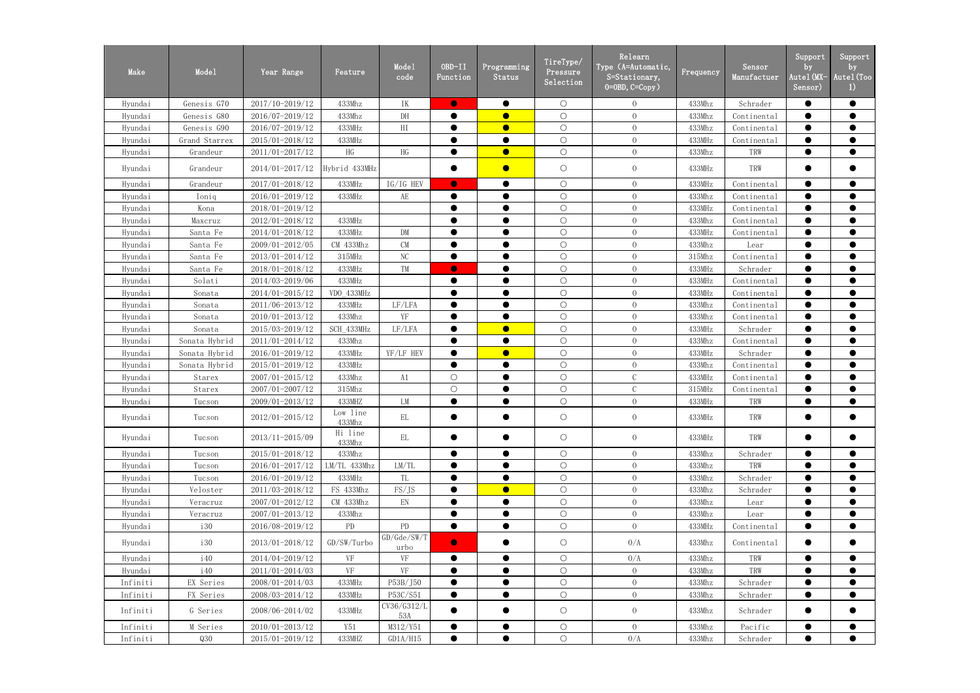| Make     | Mode1         | Year Range          | Feature            | Mode1<br>code       | OBD-II<br>Function | Programming<br>Status | TireType/<br>Pressure<br>Selection | Relearn<br>Type (A=Automatic,<br>S=Stationary,<br>$0=0$ BD, $C=Copy$ ) | Frequency | Sensor<br>Manufactuer | Support<br>by<br>Autel (MX-<br>Sensor) | Support<br>by<br>Autel (Too<br>$_{\rm 1)}$ |
|----------|---------------|---------------------|--------------------|---------------------|--------------------|-----------------------|------------------------------------|------------------------------------------------------------------------|-----------|-----------------------|----------------------------------------|--------------------------------------------|
| Hyundai  | Genesis G70   | 2017/10-2019/12     | 433Mhz             | IK                  | $\bullet$          | $\bullet$             | $\bigcirc$                         | $\overline{0}$                                                         | 433Mhz    | Schrader              | $\bullet$                              | $\bullet$                                  |
| Hyundai  | Genesis G80   | 2016/07-2019/12     | 433Mhz             | $\rm{DH}$           | $\bullet$          | $\bullet$             | $\bigcirc$                         | $\overline{0}$                                                         | 433Mhz    | Continental           | $\bullet$                              | $\bullet$                                  |
| Hyundai  | Genesis G90   | 2016/07-2019/12     | 433MHz             | HI                  |                    | $\bullet$             | $\bigcirc$                         | $\overline{0}$                                                         | 433Mhz    | Continental           | $\bullet$                              | $\bullet$                                  |
| Hyundai  | Grand Starrex | 2015/01-2018/12     | 433MHz             |                     | $\bullet$          | $\bullet$             | $\bigcirc$                         | $\overline{0}$                                                         | 433MHz    | Continental           | $\bullet$                              | $\bullet$                                  |
| Hyundai  | Grandeur      | 2011/01-2017/12     | HG                 | HG                  | $\bullet$          | $\bullet$             | $\bigcirc$                         | $\overline{0}$                                                         | 433Mhz    | TRW                   | $\bullet$                              | $\bullet$                                  |
| Hyundai  | Grandeur      | 2014/01-2017/12     | Hybrid 433MHz      |                     | $\bullet$          | $\bullet$             | $\bigcirc$                         | $\overline{0}$                                                         | 433MHz    | TRW                   | $\bullet$                              | $\bullet$                                  |
| Hyundai  | Grandeur      | 2017/01-2018/12     | 433MHz             | IG/IG HEV           | $\bullet$          | $\bullet$             | $\bigcirc$                         | $\overline{0}$                                                         | 433MHz    | Continental           | $\bullet$                              | $\bullet$                                  |
| Hyundai  | Ioniq         | 2016/01-2019/12     | 433MHz             | AE                  | $\bullet$          | $\bullet$             | $\bigcirc$                         | $\overline{0}$                                                         | 433Mhz    | Continental           | $\bullet$                              | $\bullet$                                  |
| Hyundai  | Kona          | 2018/01-2019/12     |                    |                     | $\bullet$          | $\bullet$             | $\bigcirc$                         | $\overline{0}$                                                         | 433MHz    | Continental           | $\bullet$                              | $\bullet$                                  |
| Hyundai  | Maxcruz       | 2012/01-2018/12     | 433MHz             |                     | $\bullet$          | $\bullet$             | $\bigcirc$                         | $\overline{0}$                                                         | 433Mhz    | Continental           | $\bullet$                              | $\bullet$                                  |
| Hyundai  | Santa Fe      | 2014/01-2018/12     | 433MHz             | ${\rm DM}$          |                    | $\bullet$             | $\bigcirc$                         | $\overline{0}$                                                         | 433MHz    | Continental           | $\bullet$                              | $\bullet$                                  |
| Hyundai  | Santa Fe      | 2009/01-2012/05     | CM 433Mhz          | CM                  | $\bullet$          | $\bullet$             | $\bigcirc$                         | $\overline{0}$                                                         | 433Mhz    | Lear                  | $\bullet$                              | $\bullet$                                  |
| Hyundai  | Santa Fe      | 2013/01-2014/12     | 315MHz             | NC                  |                    |                       | $\bigcirc$                         | $\overline{0}$                                                         | 315Mhz    | Continental           |                                        | $\bullet$                                  |
| Hyundai  | Santa Fe      | 2018/01-2018/12     | 433MHz             | TM                  | $\bullet$          | $\bullet$             | $\bigcirc$                         | $\overline{0}$                                                         | 433MHz    | Schrader              | $\bullet$                              | $\bullet$                                  |
| Hyundai  | Solati        | 2014/03-2019/06     | 433MHz             |                     |                    |                       | $\bigcirc$                         | $\overline{0}$                                                         | 433MHz    | Continental           | $\bullet$                              | $\bullet$                                  |
| Hyundai  | Sonata        | 2014/01-2015/12     | VDO 433MHz         |                     | $\bullet$          | $\bullet$             | $\bigcirc$                         | $\overline{0}$                                                         | 433MHz    | Continental           | $\bullet$                              | $\bullet$                                  |
| Hyundai  | Sonata        | 2011/06-2013/12     | 433MHz             | LF/LFA              | $\bullet$          | $\bullet$             | $\bigcirc$                         | $\overline{0}$                                                         | 433Mhz    | Continental           | $\bullet$                              | $\bullet$                                  |
| Hyundai  | Sonata        | 2010/01-2013/12     | 433Mhz             | YF                  |                    |                       | $\bigcirc$                         | $\overline{0}$                                                         | 433Mhz    | Continental           | $\bullet$                              | $\bullet$                                  |
| Hyundai  | Sonata        | 2015/03-2019/12     | SCH_433MHz         | LF/LFA              | $\bullet$          | $\bullet$             | $\bigcirc$                         | $\overline{0}$                                                         | 433MHz    | Schrader              | $\bullet$                              | $\bullet$                                  |
| Hyundai  | Sonata Hybrid | 2011/01-2014/12     | 433Mhz             |                     |                    |                       | $\bigcirc$                         | $\overline{0}$                                                         | 433Mhz    | Continental           | $\bullet$                              | $\bullet$                                  |
| Hyundai  | Sonata Hybrid | 2016/01-2019/12     | 433MHz             | YF/LF HEV           | $\bullet$          | $\bullet$             | $\bigcirc$                         | $\overline{0}$                                                         | 433MHz    | Schrader              | $\bullet$                              | $\bullet$                                  |
| Hyundai  | Sonata Hybrid | 2015/01-2019/12     | 433MHz             |                     |                    | $\bullet$             | $\bigcirc$                         | $\overline{0}$                                                         | 433Mhz    | Continental           | $\bullet$                              | $\bullet$                                  |
| Hyundai  | Starex        | 2007/01-2015/12     | 433Mhz             | A1                  | $\bigcirc$         |                       | $\bigcirc$                         | $\mathbf C$                                                            | 433MHz    | Continental           | $\bullet$                              | $\bullet$                                  |
| Hyundai  | Starex        | 2007/01-2007/12     | 315Mhz             |                     | $\bigcirc$         | $\bullet$             | $\bigcirc$                         | $\mathbf C$                                                            | 315MHz    | Continental           | $\bullet$                              | $\bullet$                                  |
| Hyundai  | Tucson        | 2009/01-2013/12     | 433MHZ             | LM                  | $\bullet$          | $\bullet$             | $\bigcirc$                         | $\overline{0}$                                                         | 433MHz    | TRW                   | $\bullet$                              | $\bullet$                                  |
| Hyundai  | Tucson        | 2012/01-2015/12     | Low line<br>433Mhz | EL                  |                    | $\bullet$             | $\bigcirc$                         | $\overline{0}$                                                         | 433MHz    | TRW                   | $\bullet$                              | $\bullet$                                  |
| Hyundai  | Tucson        | 2013/11-2015/09     | Hi line<br>433Mhz  | EL                  |                    | $\bullet$             | $\bigcirc$                         | $\overline{0}$                                                         | 433MHz    | TRW                   | $\bullet$                              | $\bullet$                                  |
| Hyundai  | Tucson        | 2015/01-2018/12     | 433Mhz             |                     |                    | $\bullet$             | $\bigcirc$                         | $\overline{0}$                                                         | 433Mhz    | Schrader              | $\bullet$                              | $\bullet$                                  |
| Hyundai  | Tucson        | 2016/01-2017/12     | LM/TL 433Mhz       | LM/TL               |                    | $\bullet$             | $\bigcirc$                         | $\overline{0}$                                                         | 433Mhz    | TRW                   | $\bullet$                              | $\bullet$                                  |
| Hyundai  | Tucson        | 2016/01-2019/12     | 433MHz             | TL                  | $\bullet$          | $\bullet$             | $\bigcirc$                         | $\overline{0}$                                                         | 433Mhz    | Schrader              | $\bullet$                              | $\bullet$                                  |
| Hyundai  | Veloster      | 2011/03-2018/12     | FS 433Mhz          | FS/JS               |                    | $\bullet$             | $\bigcirc$                         | $\overline{0}$                                                         | 433Mhz    | Schrader              |                                        |                                            |
| Hyundai  | Veracruz      | 2007/01-2012/12     | CM 433Mhz          | EN                  |                    | $\bullet$             | $\bigcirc$                         | $\overline{0}$                                                         | 433Mhz    | Lear                  | $\bullet$                              | $\bullet$                                  |
| Hyundai  | Veracruz      | $2007/01 - 2013/12$ | 433Mhz             |                     |                    |                       | $\bigcirc$                         | $\overline{0}$                                                         | 433Mhz    | Lear                  |                                        |                                            |
| Hyundai  | <i>i</i> 30   | 2016/08-2019/12     | PD                 | PD                  | $\bullet$          | $\bullet$             | $\bigcirc$                         | $\overline{0}$                                                         | 433MHz    | Continental           | $\bullet$                              | $\bullet$                                  |
| Hyundai  | 130           | 2013/01-2018/12     | GD/SW/Turbo        | GD/Gde/SW/T<br>urbo | $\bullet$          | $\bullet$             | $\bigcirc$                         | 0/A                                                                    | 433Mhz    | Continental           | $\bullet$                              | $\bullet$                                  |
| Hyundai  | 140           | 2014/04-2019/12     | VF                 | VF                  |                    | $\bullet$             | $\bigcirc$                         | 0/A                                                                    | 433Mhz    | TRW                   |                                        |                                            |
| Hyundai  | <i>i</i> 40   | 2011/01-2014/03     | VF                 | VF                  |                    | $\bullet$             | $\bigcirc$                         | $\overline{0}$                                                         | 433Mhz    | TRW                   | $\bullet$                              | $\bullet$                                  |
| Infiniti | EX Series     | 2008/01-2014/03     | 433MHz             | P53B/J50            |                    |                       | $\bigcirc$                         | $\overline{0}$                                                         | 433Mhz    | Schrader              |                                        | $\bullet$                                  |
| Infiniti | FX Series     | 2008/03-2014/12     | 433MHz             | P53C/S51            | $\bullet$          | $\bullet$             | $\bigcirc$                         | $\overline{0}$                                                         | 433Mhz    | Schrader              | $\bullet$                              | $\bullet$                                  |
| Infiniti | G Series      | 2008/06-2014/02     | 433MHz             | CV36/G312/L<br>53A  |                    | $\bullet$             | $\bigcirc$                         | $\overline{0}$                                                         | 433Mhz    | Schrader              | $\bullet$                              | $\bullet$                                  |
| Infiniti | M Series      | 2010/01-2013/12     | Y51                | M312/Y51            |                    | $\bullet$             | $\bigcirc$                         | $\overline{0}$                                                         | 433Mhz    | Pacific               |                                        | $\bullet$                                  |
| Infiniti | Q30           | $2015/01 - 2019/12$ | 433MHZ             | GD1A/H15            | $\bullet$          | $\bullet$             | $\bigcirc$                         | 0/A                                                                    | 433Mhz    | Schrader              | $\bullet$                              | $\bullet$                                  |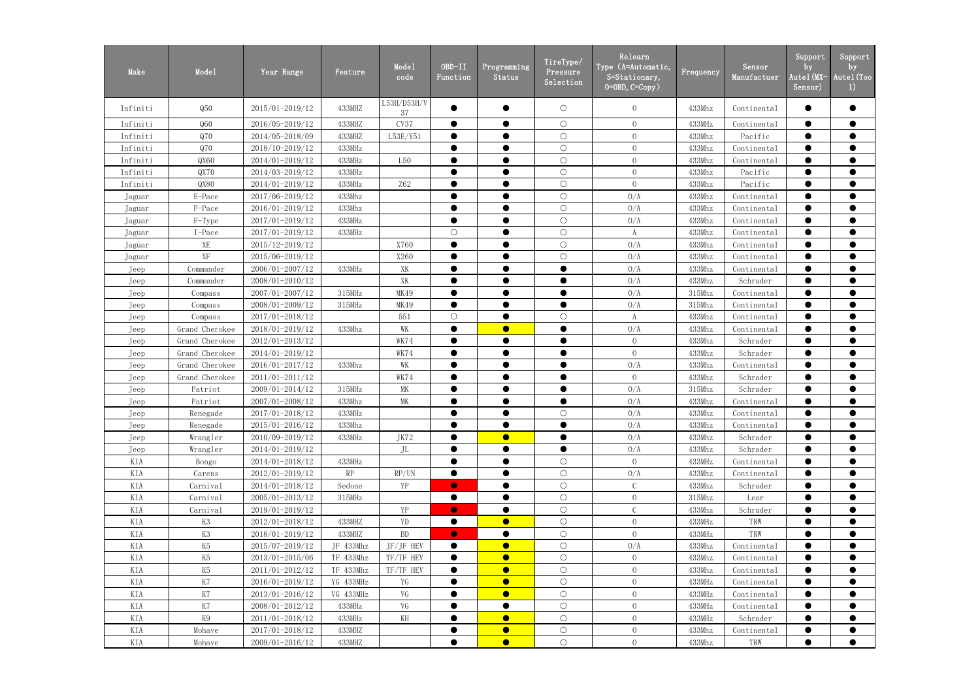| Make     | Mode1               | Year Range          | Feature         | Mode1<br>code     | OBD-II<br>Function | Programming<br>Status | TireType/<br>Pressure<br>Selection | Relearn<br>Type (A=Automatic,<br>S=Stationary,<br>$0=0$ BD, $C=Copy$ ) | Frequency | Sensor<br>Manufactuer | Support<br>by<br>Autel (MX-<br>Sensor) | Support<br>by<br>Autel (Too<br>$_{1}$ |
|----------|---------------------|---------------------|-----------------|-------------------|--------------------|-----------------------|------------------------------------|------------------------------------------------------------------------|-----------|-----------------------|----------------------------------------|---------------------------------------|
| Infiniti | Q50                 | 2015/01-2019/12     | 433MHZ          | L53H/D53H/V<br>37 |                    | $\bullet$             | $\bigcirc$                         | $\overline{0}$                                                         | 433Mhz    | Continental           |                                        | $\bullet$                             |
| Infiniti | Q60                 | 2016/05-2019/12     | 433MHZ          | CV37              |                    | $\bullet$             | $\bigcirc$                         | $\overline{0}$                                                         | 433MHz    | Continental           | $\bullet$                              | $\bullet$                             |
| Infiniti | Q70                 | 2014/05-2018/09     | 433MHZ          | L53E/Y51          |                    | $\bullet$             | $\bigcirc$                         | $\overline{0}$                                                         | 433Mhz    | Pacific               | $\bullet$                              | $\bullet$                             |
| Infiniti | Q70                 | 2018/10-2019/12     | 433MHz          |                   | ●                  | $\bullet$             | $\bigcirc$                         | $\overline{0}$                                                         | 433Mhz    | Continental           | $\bullet$                              | $\bullet$                             |
| Infiniti | QX60                | 2014/01-2019/12     | 433MHz          | L50               |                    |                       | $\bigcirc$                         | $\overline{0}$                                                         | 433Mhz    | Continental           |                                        | $\bullet$                             |
| Infiniti | QX70                | 2014/03-2019/12     | 433MHz          |                   |                    |                       | $\bigcirc$                         | $\overline{0}$                                                         | 433Mhz    | Pacific               | $\bullet$                              | $\bullet$                             |
| Infiniti | QX80                | 2014/01-2019/12     | 433MHz          | <b>Z62</b>        |                    |                       | $\bigcirc$                         | $\overline{0}$                                                         | 433Mhz    | Pacific               |                                        | $\bullet$                             |
| Jaguar   | E-Pace              | 2017/06-2019/12     | 433Mhz          |                   | $\bullet$          | $\bullet$             | $\bigcirc$                         | 0/A                                                                    | 433Mhz    | Continental           | $\bullet$                              | $\bullet$                             |
| Jaguar   | F-Pace              | 2016/01-2019/12     | 433Mhz          |                   |                    |                       | $\bigcirc$                         | 0/A                                                                    | 433Mhz    | Continental           | $\bullet$                              | $\bullet$                             |
| Jaguar   | F-Type              | 2017/01-2019/12     | 433MHz          |                   |                    | $\bullet$             | $\bigcirc$                         | 0/A                                                                    | 433Mhz    | Continental           | $\bullet$                              | $\bullet$                             |
| Jaguar   | I-Pace              | 2017/01-2019/12     | 433MHz          |                   | $\bigcirc$         | $\bullet$             | $\bigcirc$                         | $\boldsymbol{A}$                                                       | 433Mhz    | Continental           | $\bullet$                              | $\bullet$                             |
| Jaguar   | XE                  | 2015/12-2019/12     |                 | X760              | $\bullet$          | $\bullet$             | $\bigcirc$                         | 0/A                                                                    | 433Mhz    | Continental           | $\bullet$                              | $\bullet$                             |
| Jaguar   | $\operatorname{XF}$ | 2015/06-2019/12     |                 | X260              | ●                  | $\bullet$             | $\bigcirc$                         | 0/A                                                                    | 433Mhz    | Continental           | $\bullet$                              | $\bullet$                             |
| Jeep     | Commander           | 2006/01-2007/12     | 433MHz          | XK                |                    |                       | $\bullet$                          | 0/A                                                                    | 433Mhz    | Continental           |                                        | $\bullet$                             |
| Jeep     | Commander           | 2008/01-2010/12     |                 | XK                |                    | $\bullet$             | $\bullet$                          | 0/A                                                                    | 433Mhz    | Schrader              | $\bullet$                              | $\bullet$                             |
| Jeep     | Compass             | 2007/01-2007/12     | $315$ MHz       | MK49              |                    | $\bullet$             | $\bullet$                          | 0/A                                                                    | 315Mhz    | Continental           | $\bullet$                              | $\bullet$                             |
| Jeep     | Compass             | 2008/01-2009/12     | 315MHz          | MK49              | $\bullet$          | $\bullet$             | $\bullet$                          | 0/A                                                                    | 315Mhz    | Continental           | $\bullet$                              | $\bullet$                             |
| Jeep     | Compass             | 2017/01-2018/12     |                 | 551               | $\bigcirc$         |                       | $\bigcirc$                         | A                                                                      | 433Mhz    | Continental           | $\bullet$                              | $\bullet$                             |
| Jeep     | Grand Cherokee      | 2018/01-2019/12     | 433Mhz          | WK                | $\bullet$          | $\bullet$             | $\bullet$                          | 0/A                                                                    | 433Mhz    | Continental           | $\bullet$                              | $\bullet$                             |
| Jeep     | Grand Cherokee      | 2012/01-2013/12     |                 | WK74              |                    | $\bullet$             | $\bullet$                          | $\overline{0}$                                                         | 433Mhz    | Schrader              |                                        | $\bullet$                             |
| Jeep     | Grand Cherokee      | 2014/01-2019/12     |                 | WK74              | $\bullet$          | $\bullet$             | $\bullet$                          | $\overline{0}$                                                         | 433Mhz    | Schrader              | $\bullet$                              | $\bullet$                             |
| Jeep     | Grand Cherokee      | 2016/01-2017/12     | 433Mhz          | WK                |                    | $\bullet$             | $\bullet$                          | 0/A                                                                    | 433Mhz    | Continental           |                                        | $\bullet$                             |
| Jeep     | Grand Cherokee      | 2011/01-2011/12     |                 | WK74              |                    | $\bullet$             | $\bullet$                          | $\overline{0}$                                                         | 433Mhz    | Schrader              |                                        | $\bullet$                             |
| Jeep     | Patriot             | 2009/01-2014/12     | 315MHz          | MK                |                    | $\bullet$             | $\bullet$                          | 0/A                                                                    | 315Mhz    | Schrader              | $\bullet$                              | $\bullet$                             |
| Jeep     | Patriot             | 2007/01-2008/12     | 433Mhz          | МK                |                    |                       | $\bullet$                          | 0/A                                                                    | 433Mhz    | Continental           |                                        | $\bullet$                             |
| Jeep     | Renegade            | 2017/01-2018/12     | $433\mbox{MHz}$ |                   | $\bullet$          | ▲                     | $\bigcirc$                         | 0/A                                                                    | 433Mhz    | Continental           | $\bullet$                              | $\bullet$                             |
| Jeep     | Renegade            | $2015/01 - 2016/12$ | 433Mhz          |                   |                    | $\bullet$             | $\bullet$                          | 0/A                                                                    | 433Mhz    | Continental           | $\bullet$                              | $\bullet$                             |
| Jeep     | Wrangler            | 2010/09-2019/12     | 433MHz          | JK72              |                    | $\bullet$             | $\bullet$                          | 0/A                                                                    | 433Mhz    | Schrader              | $\bullet$                              | $\bullet$                             |
| Jeep     | Wrangler            | 2014/01-2019/12     |                 | JL                |                    | $\bullet$             | $\bullet$                          | 0/A                                                                    | 433Mhz    | Schrader              |                                        |                                       |
| KIA      | Bongo               | 2014/01-2018/12     | 433MHz          |                   |                    | $\bullet$             | $\bigcirc$                         | $\overline{0}$                                                         | 433MHz    | Continental           |                                        | $\bullet$                             |
| KIA      | Carens              | 2012/01-2019/12     | RP              | RP/UN             |                    | $\bullet$             | $\bigcirc$                         | 0/A                                                                    | 433Mhz    | Continental           |                                        | $\bullet$                             |
| KIA      | Carnival            | 2014/01-2018/12     | Sedone          | YP                | $\bullet$          | $\bullet$             | $\bigcirc$                         | $\mathcal{C}$                                                          | 433Mhz    | Schrader              |                                        | $\bullet$                             |
| KIA      | Carnival            | $2005/01 - 2013/12$ | 315MHz          |                   | $\bullet$          | $\bullet$             | $\bigcirc$                         | $\overline{0}$                                                         | 315Mhz    | Lear                  | $\bullet$                              | $\bullet$                             |
| KIA      | Carnival            | 2019/01-2019/12     |                 | YP                | $\bullet$          |                       | $\bigcirc$                         |                                                                        | 433Mhz    | Schrader              |                                        |                                       |
| KIA      | K3                  | 2012/01-2018/12     | 433MHZ          | YD                | $\bullet$          | $\bullet$             | $\bigcirc$                         | $\overline{0}$                                                         | 433MHz    | TRW                   | $\bullet$                              | $\bullet$                             |
| KIA      | K3                  | 2018/01-2019/12     | 433MHZ          | <b>BD</b>         | $\bullet$          | $\bullet$             | $\bigcirc$                         | $\overline{0}$                                                         | 433MHz    | TRW                   | $\bullet$                              | $\bullet$                             |
| KIA      | K5                  | 2015/07-2019/12     | JF 433Mhz       | JF/JF HEV         |                    | $\bullet$             | $\bigcirc$                         | 0/A                                                                    | 433Mhz    | Continental           | $\bullet$                              | $\bullet$                             |
| KIA      | K5                  | $2013/01 - 2015/06$ | TF 433Mhz       | TF/TF HEV         |                    | $\bullet$             | $\bigcirc$                         | $\overline{0}$                                                         | 433Mhz    | Continental           |                                        | $\bullet$                             |
| KIA      | K5                  | 2011/01-2012/12     | TF 433Mhz       | TF/TF HEV         |                    | $\bullet$             | $\bigcirc$                         | $\overline{0}$                                                         | 433Mhz    | Continental           |                                        | $\bullet$                             |
| KIA      | $\rm K7$            | 2016/01-2019/12     | YG 433MHz       | YG                |                    | $\bullet$             | $\bigcirc$                         | $\overline{0}$                                                         | 433MHz    | Continental           | $\bullet$                              | $\bullet$                             |
| KIA      | K7                  | 2013/01-2016/12     | VG 433MHz       | VG                |                    | $\bullet$             | $\bigcirc$                         | $\overline{0}$                                                         | 433MHz    | Continental           | $\bullet$                              | $\bullet$                             |
| KIA      | K7                  | 2008/01-2012/12     | 433MHz          | VG                | $\bullet$          | $\bullet$             | $\bigcirc$                         | $\overline{0}$                                                         | 433MHz    | Continental           | $\bullet$                              | $\bullet$                             |
| KIA      | K9                  | 2011/01-2018/12     | 433MHz          | KH                |                    | $\bullet$             | $\bigcirc$                         | $\overline{0}$                                                         | 433MHz    | Schrader              |                                        | $\bullet$                             |
| KIA      | Mohave              | 2017/01-2018/12     | 433MHZ          |                   |                    | $\bullet$             | $\bigcirc$                         | $\overline{0}$                                                         | 433Mhz    | Continental           | $\bullet$                              | $\bullet$                             |
| KIA      | Mohave              | $2009/01 - 2016/12$ | 433MHZ          |                   | $\bullet$          | $\bullet$             | $\bigcirc$                         | $\overline{0}$                                                         | 433Mhz    | TRW                   | $\bullet$                              | $\bullet$                             |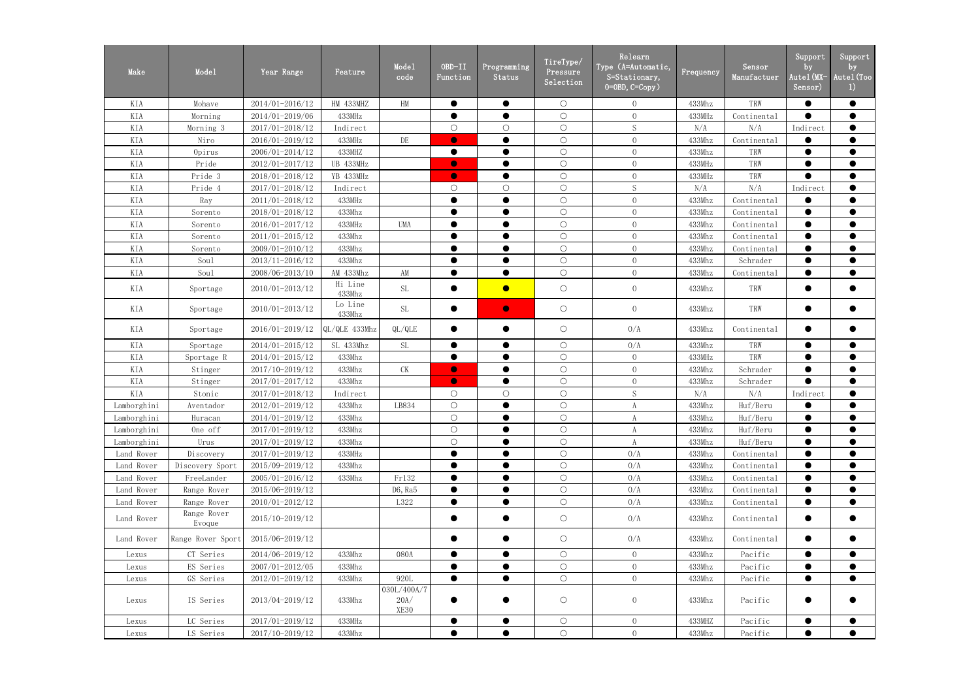| Make        | Mode1                 | Year Range          | Feature,          | Mode1<br>code               | $OBD-II$<br>Function | Programming<br>Status | TireType/<br>Pressure<br>Selection | Relearn<br>Type (A=Automatic,<br>S=Stationary,<br>$0 = 0$ BD, $C = Copy$ ) | Frequency | Sensor<br>Manufactuer                                       | Support<br>by<br>Autel (MX-<br>Sensor) | Support<br>by<br>Autel (Too<br>1) |
|-------------|-----------------------|---------------------|-------------------|-----------------------------|----------------------|-----------------------|------------------------------------|----------------------------------------------------------------------------|-----------|-------------------------------------------------------------|----------------------------------------|-----------------------------------|
| KIA         | Mohave                | 2014/01-2016/12     | HM 433MHZ         | HM                          | $\bullet$            | $\bullet$             | $\bigcirc$                         | $\overline{0}$                                                             | 433Mhz    | TRW                                                         | $\bullet$                              | $\bullet$                         |
| KIA         | Morning               | 2014/01-2019/06     | 433MHz            |                             | $\bullet$            | $\bullet$             | $\bigcirc$                         | $\overline{0}$                                                             | 433MHz    | Continental                                                 | $\bullet$                              | $\bullet$                         |
| KIA         | Morning 3             | 2017/01-2018/12     | Indirect          |                             | $\bigcirc$           | $\bigcirc$            | $\bigcirc$                         | $\mathbf S$                                                                | N/A       | N/A                                                         | Indirect                               | $\bullet$                         |
| KIA         | Niro                  | 2016/01-2019/12     | 433MHz            | DE                          | $\bullet$            | $\bullet$             | $\bigcirc$                         | $\overline{0}$                                                             | 433Mhz    | Continental                                                 | $\bullet$                              | $\bullet$                         |
| KIA         | Opirus                | 2006/01-2014/12     | 433MHZ            |                             | $\bullet$            | $\bullet$             | $\bigcirc$                         | $\overline{0}$                                                             | 433Mhz    | TRW                                                         | $\bullet$                              | $\bullet$                         |
| KIA         | Pride                 | 2012/01-2017/12     | UB 433MHz         |                             | $\bullet$            | $\bullet$             | $\bigcirc$                         | $\overline{0}$                                                             | 433MHz    | TRW                                                         | $\bullet$                              | $\bullet$                         |
| KIA         | Pride 3               | 2018/01-2018/12     | YB 433MHz         |                             | $\bullet$            | $\bullet$             | $\bigcirc$                         | $\overline{0}$                                                             | 433MHz    | TRW                                                         | $\bullet$                              | $\bullet$                         |
| KIA         | Pride 4               | 2017/01-2018/12     | Indirect          |                             | $\bigcirc$           | $\bigcirc$            | $\bigcirc$                         | $\mathbf S$                                                                | N/A       | N/A                                                         | Indirect                               | $\bullet$                         |
| KIA         | Ray                   | 2011/01-2018/12     | 433MHz            |                             | $\bullet$            | $\bullet$             | $\bigcirc$                         | $\overline{0}$                                                             | 433Mhz    | Continental                                                 | $\bullet$                              | $\bullet$                         |
| KIA         | Sorento               | 2018/01-2018/12     | 433Mhz            |                             | $\bullet$            |                       | $\bigcirc$                         | $\overline{0}$                                                             | 433Mhz    | Continental                                                 | $\bullet$                              | $\bullet$                         |
| KIA         | Sorento               | 2016/01-2017/12     | 433MHz            | <b>UMA</b>                  | $\bullet$            | $\bullet$             | $\bigcirc$                         | $\overline{0}$                                                             | 433Mhz    | Continental                                                 | $\bullet$                              | $\bullet$                         |
| KIA         | Sorento               | 2011/01-2015/12     | 433Mhz            |                             | $\bullet$            | $\bullet$             | $\bigcirc$                         | $\overline{0}$                                                             | 433Mhz    | Continental                                                 | $\bullet$                              | $\bullet$                         |
| KIA         | Sorento               | 2009/01-2010/12     | 433Mhz            |                             |                      |                       | $\bigcirc$                         | $\overline{0}$                                                             | 433Mhz    | Continental                                                 | $\bullet$                              | $\bullet$                         |
| KIA         | Sou1                  | 2013/11-2016/12     | 433Mhz            |                             | $\bullet$            | $\bullet$             | $\bigcirc$                         | $\overline{0}$                                                             | 433Mhz    | Schrader                                                    | $\bullet$                              | $\bullet$                         |
| KIA         | Sou1                  | 2008/06-2013/10     | AM 433Mhz         | AM                          | $\bullet$            | $\bullet$             | $\bigcirc$                         | $\overline{0}$                                                             | 433Mhz    | Continental                                                 | $\bullet$                              | $\bullet$                         |
| KIA         | Sportage              | 2010/01-2013/12     | Hi Line<br>433Mhz | <b>SL</b>                   | $\bullet$            | $\bullet$             | $\bigcirc$                         | $\overline{0}$                                                             | 433Mhz    | TRW                                                         | $\bullet$                              | $\bullet$                         |
| KIA         | Sportage              | 2010/01-2013/12     | Lo Line<br>433Mhz | <b>SL</b>                   | $\bullet$            | $\bullet$             | $\bigcirc$                         | $\overline{0}$                                                             | 433Mhz    | TRW                                                         | $\bullet$                              | $\bullet$                         |
| KIA         | Sportage              | 2016/01-2019/12     | QL/QLE 433Mhz     | QL/QLE                      | $\bullet$            | $\bullet$             | $\bigcirc$                         | 0/A                                                                        | 433Mhz    | Continental                                                 | $\bullet$                              | $\bullet$                         |
| KIA         | Sportage              | 2014/01-2015/12     | SL 433Mhz         | <b>SL</b>                   | $\bullet$            | $\bullet$             | $\bigcirc$                         | 0/A                                                                        | 433Mhz    | TRW                                                         |                                        | $\bullet$                         |
| KIA         | Sportage R            | 2014/01-2015/12     | 433Mhz            |                             | $\bullet$            | $\bullet$             | $\bigcirc$                         | $\overline{0}$                                                             | 433MHz    | TRW                                                         | $\bullet$                              | $\bullet$                         |
| KIA         | Stinger               | $2017/10 - 2019/12$ | 433Mhz            | <b>CK</b>                   | $\bullet$            | $\bullet$             | $\bigcirc$                         | $\overline{0}$                                                             | 433Mhz    | Schrader                                                    | $\bullet$                              | $\bullet$                         |
| KIA         | Stinger               | 2017/01-2017/12     | 433Mhz            |                             | $\bullet$            | $\bullet$             | $\bigcirc$                         | $\overline{0}$                                                             | 433Mhz    | Schrader                                                    | $\bullet$                              | $\bullet$                         |
| KIA         | Stonic                | 2017/01-2018/12     | Indirect          |                             | $\bigcirc$           | $\bigcirc$            | $\bigcirc$                         | S                                                                          | N/A       | N/A                                                         | Indirect                               | $\bullet$                         |
| Lamborghini | Aventador             | 2012/01-2019/12     | 433Mhz            | LB834                       | $\bigcirc$           | $\bullet$             | $\bigcirc$                         | A                                                                          | 433Mhz    | Huf/Beru                                                    | $\bullet$                              | $\bullet$                         |
| Lamborghini | Huracan               | 2014/01-2019/12     | 433Mhz            |                             | $\bigcirc$           | $\bullet$             | $\circ$                            | A                                                                          | 433Mhz    | Huf/Beru                                                    | $\bullet$                              | $\bullet$                         |
| Lamborghini | One off               | 2017/01-2019/12     | 433Mhz            |                             | $\bigcirc$           | $\bullet$             | $\bigcirc$                         | $\rm A$                                                                    | 433Mhz    | Huf/Beru                                                    | $\bullet$                              | $\bullet$                         |
| Lamborghini | Urus                  | 2017/01-2019/12     | 433Mhz            |                             | $\bigcirc$           | $\bullet$             | $\bigcirc$                         | A                                                                          | 433Mhz    | Huf/Beru                                                    | $\bullet$                              | $\bullet$                         |
| Land Rover  | Discovery             | 2017/01-2019/12     | 433MHz            |                             | $\bullet$            | $\bullet$             | $\bigcirc$                         | 0/A                                                                        | 433Mhz    | Continental                                                 | $\bullet$                              | $\bullet$                         |
| Land Rover  | Discovery Sport       | 2015/09-2019/12     | 433Mhz            |                             |                      |                       | $\bigcirc$                         | 0/A                                                                        | 433Mhz    | Continental                                                 |                                        | $\bullet$                         |
| Land Rover  | FreeLander            | 2005/01-2016/12     | 433Mhz            | Fr132                       | $\bullet$            | $\bullet$             | $\bigcirc$                         | 0/A                                                                        | 433Mhz    | Continental                                                 | $\bullet$                              | $\bullet$                         |
| Land Rover  | Range Rover           | 2015/06-2019/12     |                   | D6, Ra5                     |                      |                       | $\bigcirc$                         | 0/A                                                                        | 433Mhz    | Continental                                                 |                                        |                                   |
| Land Rover  | Range Rover           | 2010/01-2012/12     |                   | L322                        | $\bullet$            | $\bullet$             | $\bigcirc$                         | 0/A                                                                        | 433Mhz    | $\begin{minipage}{.4\linewidth} Continental \end{minipage}$ | $\bullet$                              | $\bullet$                         |
| Land Rover  | Range Rover<br>Evoque | 2015/10-2019/12     |                   |                             |                      |                       | $\bigcirc$                         | 0/A                                                                        | 433Mhz    | Continental                                                 | $\bullet$                              | $\bullet$                         |
| Land Rover  | Range Rover Sport     | 2015/06-2019/12     |                   |                             |                      | $\bullet$             | $\bigcirc$                         | 0/A                                                                        | 433Mhz    | Continental                                                 | $\bullet$                              | $\bullet$                         |
| Lexus       | CT Series             | 2014/06-2019/12     | 433Mhz            | 080A                        | $\bullet$            | $\bullet$             | $\bigcirc$                         | $\overline{0}$                                                             | 433Mhz    | Pacific                                                     | $\bullet$                              | $\bullet$                         |
| Lexus       | ES Series             | 2007/01-2012/05     | 433Mhz            |                             | $\bullet$            | $\bullet$             | $\bigcirc$                         | $\overline{0}$                                                             | 433Mhz    | Pacific                                                     | $\bullet$                              | $\bullet$                         |
| Lexus       | GS Series             | 2012/01-2019/12     | 433Mhz            | 920L                        | $\bullet$            | $\bullet$             | $\bigcirc$                         | $\overline{0}$                                                             | 433Mhz    | Pacific                                                     | $\bullet$                              | $\bullet$                         |
| Lexus       | IS Series             | 2013/04-2019/12     | 433Mhz            | 030L/400A/7<br>20A/<br>XE30 |                      |                       | $\bigcirc$                         | $\overline{0}$                                                             | 433Mhz    | Pacific                                                     | $\bullet$                              |                                   |
| Lexus       | LC Series             | 2017/01-2019/12     | 433MHz            |                             | $\bullet$            | $\bullet$             | $\bigcirc$                         | $\overline{0}$                                                             | 433MHZ    | Pacific                                                     | $\bullet$                              | $\bullet$                         |
| Lexus       | LS Series             | 2017/10-2019/12     | 433Mhz            |                             | $\bullet$            | $\bullet$             | $\bigcirc$                         | $\overline{0}$                                                             | 433Mhz    | Pacific                                                     | $\bullet$                              | $\bullet$                         |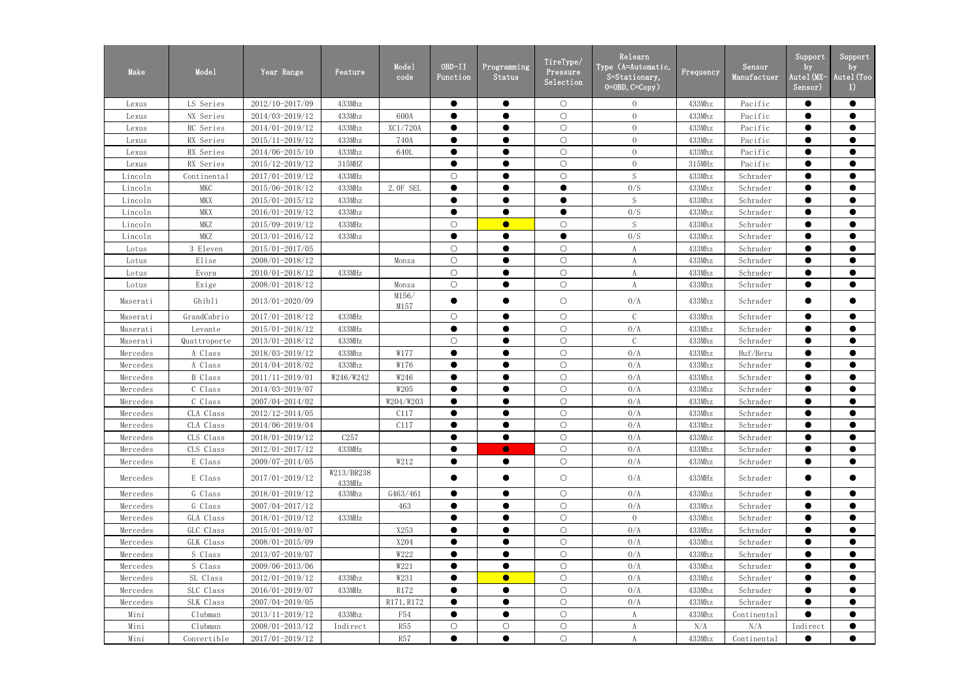| Make     | Mode1          | Year Range      | Feature              | Mode1<br>code | OBD-II<br>Function | Programming<br>Status | TireType/<br>Pressure<br>Selection | Relearn<br>Type (A=Automatic,<br>S=Stationary,<br>$0 = 0$ BD, $C = Copy$ ) | Frequency | Sensor<br>Manufactuer | Support<br>by<br>Autel(MX-<br>Sensor) | Support<br>by<br>Autel (Too<br>$\left  \right $ |
|----------|----------------|-----------------|----------------------|---------------|--------------------|-----------------------|------------------------------------|----------------------------------------------------------------------------|-----------|-----------------------|---------------------------------------|-------------------------------------------------|
| Lexus    | LS Series      | 2012/10-2017/09 | 433Mhz               |               |                    | $\bullet$             | $\bigcirc$                         | $\overline{0}$                                                             | 433Mhz    | Pacific               | $\bullet$                             | $\bullet$                                       |
| Lexus    | NX Series      | 2014/03-2019/12 | 433Mhz               | 600A          |                    | $\bullet$             | $\bigcirc$                         | $\overline{0}$                                                             | 433Mhz    | Pacific               | $\bullet$                             | $\bullet$                                       |
| Lexus    | RC Series      | 2014/01-2019/12 | 433Mhz               | XC1/720A      |                    | $\bullet$             | $\bigcirc$                         | $\overline{0}$                                                             | 433Mhz    | Pacific               | $\bullet$                             | $\bullet$                                       |
| Lexus    | RX Series      | 2015/11-2019/12 | 433Mhz               | 740A          |                    | $\bullet$             | $\bigcirc$                         | $\overline{0}$                                                             | 433Mhz    | Pacific               |                                       | $\bullet$                                       |
| Lexus    | RX Series      | 2014/06-2015/10 | 433Mhz               | 640L          |                    | $\bullet$             | $\bigcirc$                         | $\overline{0}$                                                             | 433Mhz    | Pacific               | $\bullet$                             | $\bullet$                                       |
| Lexus    | RX Series      | 2015/12-2019/12 | 315MHZ               |               |                    |                       | $\bigcirc$                         | $\overline{0}$                                                             | $315$ MHz | Pacific               |                                       | $\bullet$                                       |
| Lincoln  | Continental    | 2017/01-2019/12 | 433MHz               |               | $\bigcirc$         | $\bullet$             | $\bigcirc$                         | S                                                                          | 433Mhz    | Schrader              | $\bullet$                             | $\bullet$                                       |
| Lincoln  | <b>MKC</b>     | 2015/06-2018/12 | 433MHz               | 2. OF SEL     |                    |                       | $\bullet$                          | 0/S                                                                        | 433Mhz    | Schrader              |                                       | $\bullet$                                       |
| Lincoln  | <b>MKX</b>     | 2015/01-2015/12 | 433Mhz               |               | $\bullet$          | $\bullet$             | $\bullet$                          | S                                                                          | 433Mhz    | Schrader              | $\bullet$                             | $\bullet$                                       |
| Lincoln  | <b>MKX</b>     | 2016/01-2019/12 | 433Mhz               |               |                    |                       | $\bullet$                          | 0/S                                                                        | 433Mhz    | Schrader              |                                       | $\bullet$                                       |
| Lincoln  | MKZ            | 2015/09-2019/12 | 433MHz               |               | $\bigcirc$         | $\bullet$             | $\bigcirc$                         | $\mathbf S$                                                                | 433Mhz    | Schrader              | $\bullet$                             | $\bullet$                                       |
| Lincoln  | <b>MKZ</b>     | 2013/01-2016/12 | 433Mhz               |               |                    | $\bullet$             | $\bullet$                          | 0/S                                                                        | 433Mhz    | Schrader              | $\bullet$                             | $\bullet$                                       |
| Lotus    | 3 Eleven       | 2015/01-2017/05 |                      |               | $\bigcirc$         |                       | $\bigcirc$                         | A                                                                          | 433Mhz    | Schrader              | $\bullet$                             | $\bullet$                                       |
| Lotus    | Elise          | 2008/01-2018/12 |                      | Monza         | $\bigcirc$         |                       | $\bigcirc$                         | A                                                                          | 433Mhz    | Schrader              | $\bullet$                             | $\bullet$                                       |
| Lotus    | Evora          | 2010/01-2018/12 | 433MHz               |               | $\bigcirc$         |                       | $\bigcirc$                         | A                                                                          | 433Mhz    | Schrader              |                                       | $\bullet$                                       |
| Lotus    | Exige          | 2008/01-2018/12 |                      | Monza         | $\bigcirc$         | $\bullet$             | $\bigcirc$                         | A                                                                          | 433Mhz    | Schrader              | $\bullet$                             | $\bullet$                                       |
| Maserati | Ghibli         | 2013/01-2020/09 |                      | M156/<br>M157 | $\bullet$          |                       | $\bigcirc$                         | 0/A                                                                        | 433Mhz    | Schrader              | $\bullet$                             | $\bullet$                                       |
| Maserati | GrandCabrio    | 2017/01-2018/12 | 433MHz               |               | $\bigcirc$         | $\bullet$             | $\bigcirc$                         | $\mathcal{C}$                                                              | 433Mhz    | Schrader              |                                       | $\bullet$                                       |
| Maserati | Levante        | 2015/01-2018/12 | 433MHz               |               |                    | $\bullet$             | $\bigcirc$                         | 0/A                                                                        | 433Mhz    | Schrader              | $\bullet$                             | $\bullet$                                       |
| Maserati | Quattroporte   | 2013/01-2018/12 | 433MHz               |               | $\bigcirc$         |                       | $\bigcirc$                         | $\mathbf C$                                                                | 433Mhz    | Schrader              | $\bullet$                             | $\bullet$                                       |
| Mercedes | A Class        | 2018/03-2019/12 | 433Mhz               | W177          |                    | $\bullet$             | $\bigcirc$                         | 0/A                                                                        | 433Mhz    | Huf/Beru              | $\bullet$                             | $\bullet$                                       |
| Mercedes | A Class        | 2014/04-2018/02 | 433Mhz               | W176          |                    |                       | $\bigcirc$                         | 0/A                                                                        | 433Mhz    | Schrader              |                                       | $\bullet$                                       |
| Mercedes | <b>B</b> Class | 2011/11-2019/01 | W246/W242            | W246          |                    |                       | $\bigcirc$                         | 0/A                                                                        | 433Mhz    | Schrader              |                                       | $\bullet$                                       |
| Mercedes | C Class        | 2014/03-2019/07 |                      | W205          |                    |                       | $\bigcirc$                         | 0/A                                                                        | 433Mhz    | Schrader              | $\bullet$                             | $\bullet$                                       |
| Mercedes | C Class        | 2007/04-2014/02 |                      | W204/W203     |                    |                       | $\bigcirc$                         | 0/A                                                                        | 433Mhz    | Schrader              | $\bullet$                             | $\bullet$                                       |
| Mercedes | CLA Class      | 2012/12-2014/05 |                      | C117          | $\bullet$          | $\bullet$             | $\bigcirc$                         | 0/A                                                                        | 433Mhz    | Schrader              | $\bullet$                             | $\bullet$                                       |
| Mercedes | CLA Class      | 2014/06-2019/04 |                      | C117          |                    | $\bullet$             | $\bigcirc$                         | 0/A                                                                        | 433Mhz    | Schrader              | $\bullet$                             | $\bullet$                                       |
| Mercedes | CLS Class      | 2018/01-2019/12 | C257                 |               | $\bullet$          | $\bullet$             | $\bigcirc$                         | 0/A                                                                        | 433Mhz    | Schrader              | $\bullet$                             | $\bullet$                                       |
| Mercedes | CLS Class      | 2012/01-2017/12 | 433MHz               |               |                    | $\bullet$             | $\bigcirc$                         | 0/A                                                                        | 433Mhz    | Schrader              | $\bullet$                             | $\bullet$                                       |
| Mercedes | E Class        | 2009/07-2014/05 |                      | W212          |                    | $\bullet$             | $\bigcirc$                         | 0/A                                                                        | 433Mhz    | Schrader              | $\bullet$                             | $\bullet$                                       |
| Mercedes | E Class        | 2017/01-2019/12 | W213/BR238<br>433MHz |               |                    | $\bullet$             | $\bigcirc$                         | 0/A                                                                        | 433MHz    | Schrader              | $\bullet$                             | $\bullet$                                       |
| Mercedes | G Class        | 2018/01-2019/12 | 433Mhz               | G463/461      | $\bullet$          | $\bullet$             | $\bigcirc$                         | 0/A                                                                        | 433Mhz    | Schrader              | $\bullet$                             | $\bullet$                                       |
| Mercedes | G Class        | 2007/04-2017/12 |                      | 463           | $\bullet$          | $\bullet$             | $\bigcirc$                         | 0/A                                                                        | 433Mhz    | Schrader              | $\bullet$                             | $\bullet$                                       |
| Mercedes | GLA Class      | 2018/01-2019/12 | 433MHz               |               | $\bullet$          | $\bullet$             | $\bigcirc$                         | $\overline{0}$                                                             | 433Mhz    | Schrader              | $\bullet$                             | $\bullet$                                       |
| Mercedes | GLC Class      | 2015/01-2019/07 |                      | X253          |                    |                       | $\bigcirc$                         | 0/A                                                                        | 433Mhz    | Schrader              |                                       |                                                 |
| Mercedes | GLK Class      | 2008/01-2015/09 |                      | X204          |                    |                       | $\bigcirc$                         | 0/A                                                                        | 433Mhz    | Schrader              | $\bullet$                             | $\bullet$                                       |
| Mercedes | S Class        | 2013/07-2019/07 |                      | W222          |                    |                       | $\bigcirc$                         | 0/A                                                                        | 433Mhz    | Schrader              |                                       |                                                 |
| Mercedes | S Class        | 2009/06-2013/06 |                      | W221          | $\bullet$          | $\bullet$             | $\bigcirc$                         | 0/A                                                                        | 433Mhz    | Schrader              | $\bullet$                             | $\bullet$                                       |
| Mercedes | SL Class       | 2012/01-2019/12 | 433Mhz               | W231          |                    | $\bullet$             | $\bigcirc$                         | 0/A                                                                        | 433Mhz    | Schrader              |                                       |                                                 |
| Mercedes | SLC Class      | 2016/01-2019/07 | 433MHz               | R172          | $\bullet$          | $\bullet$             | $\bigcirc$                         | 0/A                                                                        | 433Mhz    | Schrader              | $\bullet$                             | $\bullet$                                       |
| Mercedes | SLK Class      | 2007/04-2019/05 |                      | R171, R172    |                    |                       | $\bigcirc$                         | 0/A                                                                        | 433Mhz    | Schrader              |                                       | $\bullet$                                       |
| Mini     | Clubman        | 2013/11-2019/12 | 433Mhz               | F54           | $\bullet$          | $\bullet$             | $\bigcirc$                         | A                                                                          | 433Mhz    | Continental           | $\bullet$                             | $\bullet$                                       |
| Mini     | Clubman        | 2008/01-2013/12 | Indirect             | <b>R55</b>    | $\bigcirc$         | $\bigcirc$            | $\bigcirc$                         | A                                                                          | N/A       | N/A                   | Indirect                              |                                                 |
| Mini     | Convertible    | 2017/01-2019/12 |                      | R57           | $\bullet$          | $\bullet$             | $\bigcirc$                         | A                                                                          | 433Mhz    | Continental           | $\bullet$                             | $\bullet$                                       |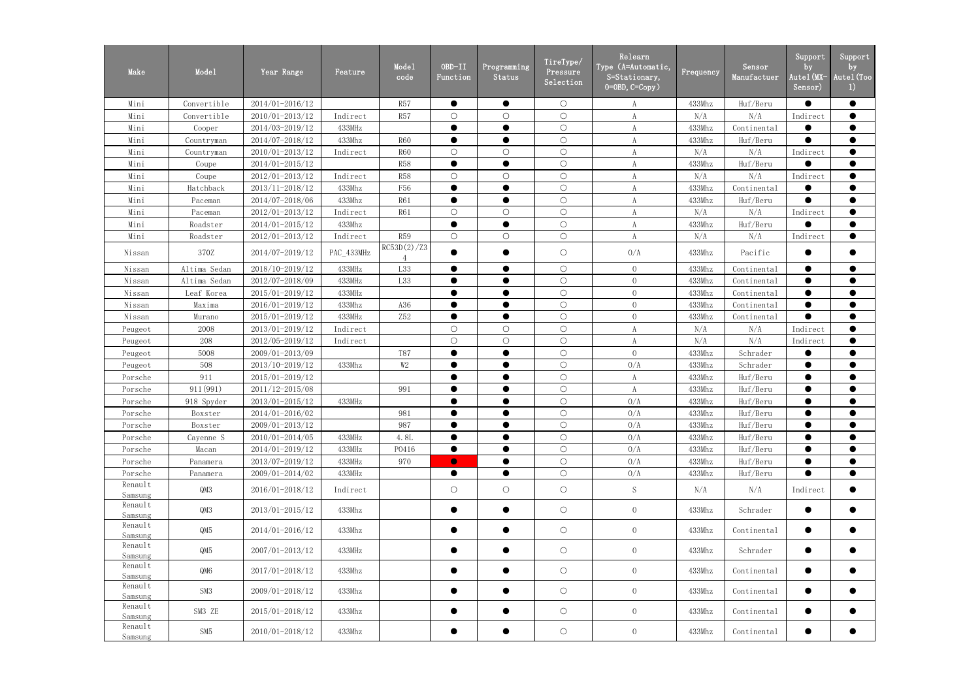| Make               | Mode1        | Year Range      | Feature    | Mode1<br>code | OBD-II<br>Function | Programming<br>Status | TireType/<br>Pressure<br>Selection | Relearn<br>Type (A=Automatic,<br>S=Stationary,<br>$0=0$ BD, $C=Copy$ ) | Frequency | Sensor<br>Manufactuer | Support<br>by<br>Autel (MX-<br>Sensor) | Support<br>by<br>Autel (Too<br>1) |
|--------------------|--------------|-----------------|------------|---------------|--------------------|-----------------------|------------------------------------|------------------------------------------------------------------------|-----------|-----------------------|----------------------------------------|-----------------------------------|
| Mini               | Convertible  | 2014/01-2016/12 |            | R57           | $\bullet$          | $\bullet$             | $\bigcirc$                         | A                                                                      | 433Mhz    | Huf/Beru              | $\bullet$                              | $\bullet$                         |
| Mini               | Convertible  | 2010/01-2013/12 | Indirect   | <b>R57</b>    | $\bigcirc$         | $\bigcirc$            | $\bigcirc$                         | A                                                                      | N/A       | N/A                   | Indirect                               | $\bullet$                         |
| Mini               | Cooper       | 2014/03-2019/12 | 433MHz     |               |                    | $\bullet$             | $\bigcirc$                         |                                                                        | 433Mhz    | Continental           |                                        | $\bullet$                         |
| Mini               | Countryman   | 2014/07-2018/12 | 433Mhz     | <b>R60</b>    |                    |                       | $\bigcirc$                         | A                                                                      | 433Mhz    | Huf/Beru              |                                        | $\bullet$                         |
| Mini               | Countryman   | 2010/01-2013/12 | Indirect   | <b>R60</b>    | $\bigcirc$         | $\bigcirc$            | $\bigcirc$                         | A                                                                      | N/A       | N/A                   | Indirect                               | $\bullet$                         |
| Mini               | Coupe        | 2014/01-2015/12 |            | <b>R58</b>    |                    | $\bullet$             | $\bigcirc$                         | A                                                                      | 433Mhz    | Huf/Beru              |                                        | $\bullet$                         |
| Mini               | Coupe        | 2012/01-2013/12 | Indirect   | <b>R58</b>    | $\bigcirc$         | $\bigcirc$            | $\bigcirc$                         | A                                                                      | N/A       | N/A                   | Indirect                               | $\bullet$                         |
| Mini               | Hatchback    | 2013/11-2018/12 | 433Mhz     | F56           |                    |                       | $\bigcirc$                         | A                                                                      | 433Mhz    | Continental           |                                        | $\bullet$                         |
| Mini               | Paceman      | 2014/07-2018/06 | 433Mhz     | <b>R61</b>    |                    | $\bullet$             | $\bigcirc$                         | A                                                                      | 433Mhz    | Huf/Beru              | $\bullet$                              | $\bullet$                         |
| Mini               | Paceman      | 2012/01-2013/12 | Indirect   | <b>R61</b>    | $\bigcirc$         | $\bigcirc$            | $\bigcirc$                         | A                                                                      | N/A       | N/A                   | Indirect                               | $\bullet$                         |
| Mini               | Roadster     | 2014/01-2015/12 | 433Mhz     |               |                    | $\bullet$             | $\bigcirc$                         |                                                                        | 433Mhz    | Huf/Beru              |                                        | $\bullet$                         |
| Mini               | Roadster     | 2012/01-2013/12 | Indirect   | <b>R59</b>    | $\bigcirc$         | $\bigcirc$            | $\bigcirc$                         | A                                                                      | N/A       | N/A                   | Indirect                               | $\bullet$                         |
| Nissan             | 370Z         | 2014/07-2019/12 | PAC_433MHz | RC53D(2)/Z3   |                    |                       | $\bigcirc$                         | 0/A                                                                    | 433Mhz    | Pacific               |                                        | $\bullet$                         |
| Nissan             | Altima Sedan | 2018/10-2019/12 | 433MHz     | L33           | $\bullet$          | $\bullet$             | $\bigcirc$                         | $\overline{0}$                                                         | 433Mhz    | Continental           | $\bullet$                              | $\bullet$                         |
| Nissan             | Altima Sedan | 2012/07-2018/09 | 433MHz     | L33           |                    |                       | $\bigcirc$                         | $\overline{0}$                                                         | 433Mhz    | Continental           | $\bullet$                              | $\bullet$                         |
| Nissan             | Leaf Korea   | 2015/01-2019/12 | 433MHz     |               |                    |                       | $\bigcirc$                         | $\overline{0}$                                                         | 433Mhz    | Continental           | $\bullet$                              | $\bullet$                         |
| Nissan             | Maxima       | 2016/01-2019/12 | 433Mhz     | A36           |                    | $\bullet$             | $\bigcirc$                         | $\overline{0}$                                                         | 433Mhz    | Continental           | $\bullet$                              | $\bullet$                         |
| Nissan             | Murano       | 2015/01-2019/12 | 433MHz     | Z52           |                    |                       | $\bigcirc$                         | $\overline{0}$                                                         | 433Mhz    | Continental           | $\bullet$                              | $\bullet$                         |
| Peugeot            | 2008         | 2013/01-2019/12 | Indirect   |               | $\bigcirc$         | $\bigcirc$            | $\bigcirc$                         | A                                                                      | N/A       | N/A                   | Indirect                               | $\bullet$                         |
| Peugeot            | 208          | 2012/05-2019/12 | Indirect   |               | $\bigcirc$         | $\bigcirc$            | $\bigcirc$                         | A                                                                      | N/A       | N/A                   | Indirect                               | $\bullet$                         |
| Peugeot            | 5008         | 2009/01-2013/09 |            | <b>T87</b>    | $\bullet$          | $\bullet$             | $\bigcirc$                         | $\overline{0}$                                                         | 433Mhz    | Schrader              |                                        | $\bullet$                         |
| Peugeot            | 508          | 2013/10-2019/12 | 433Mhz     | W2            |                    |                       | $\bigcirc$                         | 0/A                                                                    | 433Mhz    | Schrader              |                                        | $\bullet$                         |
| Porsche            | 911          | 2015/01-2019/12 |            |               |                    |                       | $\bigcirc$                         | A                                                                      | 433Mhz    | Huf/Beru              |                                        | $\bullet$                         |
| Porsche            | 911 (991)    | 2011/12-2015/08 |            | 991           |                    |                       | $\bigcirc$                         | A                                                                      | 433Mhz    | Huf/Beru              | $\bullet$                              | $\bullet$                         |
| Porsche            | 918 Spyder   | 2013/01-2015/12 | 433MHz     |               |                    |                       | $\bigcirc$                         | 0/A                                                                    | 433Mhz    | Huf/Beru              |                                        | $\bullet$                         |
| Porsche            | Boxster      | 2014/01-2016/02 |            | 981           | $\bullet$          | $\bullet$             | $\bigcirc$                         | 0/A                                                                    | 433Mhz    | Huf/Beru              | $\bullet$                              | $\bullet$                         |
| Porsche            | Boxster      | 2009/01-2013/12 |            | 987           | $\bullet$          | $\bullet$             | $\bigcirc$                         | 0/A                                                                    | 433Mhz    | Huf/Beru              | $\bullet$                              | $\bullet$                         |
| Porsche            | Cayenne S    | 2010/01-2014/05 | 433MHz     | 4.8L          | $\bullet$          | $\bullet$             | $\bigcirc$                         | 0/A                                                                    | 433Mhz    | Huf/Beru              | $\bullet$                              | $\bullet$                         |
| Porsche            | Macan        | 2014/01-2019/12 | 433MHz     | P0416         | $\bullet$          | $\bullet$             | $\bigcirc$                         | 0/A                                                                    | 433Mhz    | Huf/Beru              | $\bullet$                              | $\bullet$                         |
| Porsche            | Panamera     | 2013/07-2019/12 | 433MHz     | 970           | $\bullet$          | $\bullet$             | $\bigcirc$                         | 0/A                                                                    | 433Mhz    | Huf/Beru              | $\bullet$                              | $\bullet$                         |
| Porsche            | Panamera     | 2009/01-2014/02 | 433MHz     |               | $\bullet$          | $\bullet$             | $\bigcirc$                         | 0/A                                                                    | 433Mhz    | Huf/Beru              | $\bullet$                              | $\bullet$                         |
| Renault<br>Samsung | QM3          | 2016/01-2018/12 | Indirect   |               | $\bigcirc$         | $\bigcirc$            | $\bigcirc$                         | ${\mathcal S}$                                                         | N/A       | N/A                   | Indirect                               | $\bullet$                         |
| Renault<br>Samsung | QM3          | 2013/01-2015/12 | 433Mhz     |               |                    | $\bullet$             | $\bigcirc$                         | $\overline{0}$                                                         | 433Mhz    | Schrader              | $\bullet$                              | $\bullet$                         |
| Renault<br>Samsung | QM5          | 2014/01-2016/12 | 433Mhz     |               | $\bullet$          | $\bullet$             | $\bigcirc$                         | $\overline{0}$                                                         | 433Mhz    | Continental           | $\bullet$                              | $\bullet$                         |
| Renault<br>Samsung | QM5          | 2007/01-2013/12 | 433MHz     |               | $\bullet$          | $\bullet$             | $\circ$                            | $\overline{0}$                                                         | 433Mhz    | Schrader              | $\bullet$                              | $\bullet$                         |
| Renault<br>Samsung | QM6          | 2017/01-2018/12 | 433Mhz     |               | $\bullet$          | $\bullet$             | $\bigcirc$                         | $\overline{0}$                                                         | 433Mhz    | Continental           | $\bullet$                              | $\bullet$                         |
| Renault<br>Samsung | SM3          | 2009/01-2018/12 | 433Mhz     |               | $\bullet$          | $\bullet$             | $\bigcirc$                         | $\overline{0}$                                                         | 433Mhz    | Continental           | $\bullet$                              | $\bullet$                         |
| Renault<br>Samsung | SM3 ZE       | 2015/01-2018/12 | 433Mhz     |               | $\bullet$          | $\bullet$             | $\bigcirc$                         | $\overline{0}$                                                         | 433Mhz    | Continental           | $\bullet$                              | $\bullet$                         |
| Renault<br>Samsung | SM5          | 2010/01-2018/12 | 433Mhz     |               | $\bullet$          | $\bullet$             | $\bigcirc$                         | $\overline{0}$                                                         | 433Mhz    | Continental           | $\bullet$                              | $\bullet$                         |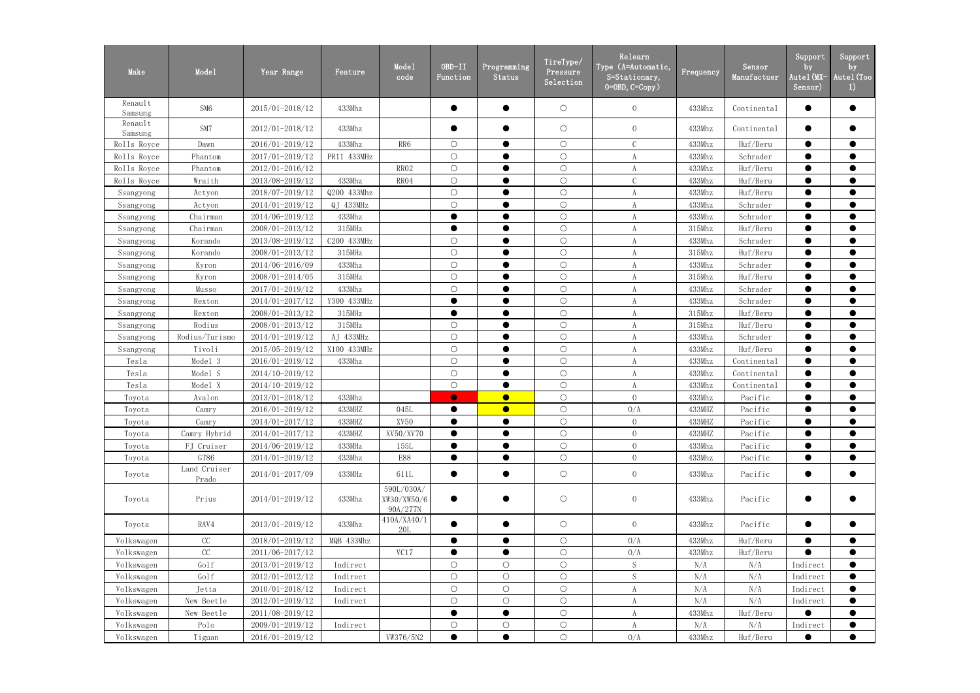| Make               | Mode1                 | Year Range      | Feature     | Mode1<br>code                         | OBD-II<br>Function | Programming<br>Status | TireType/<br>Pressure<br>Selection | Relearn<br>Type (A=Automatic,<br>S=Stationary,<br>$0=0BD, C=Copy$ ) | Frequency | Sensor<br>Manufactuer | Support<br>by<br>Autel (MX-<br>Sensor) | Support<br>by<br>Autel (Too<br>$_{1}$ |
|--------------------|-----------------------|-----------------|-------------|---------------------------------------|--------------------|-----------------------|------------------------------------|---------------------------------------------------------------------|-----------|-----------------------|----------------------------------------|---------------------------------------|
| Renault<br>Samsung | SM <sub>6</sub>       | 2015/01-2018/12 | 433Mhz      |                                       | ●                  | $\bullet$             | $\bigcirc$                         | $\overline{0}$                                                      | 433Mhz    | Continental           | $\bullet$                              | $\bullet$                             |
| Renault<br>Samsung | SM7                   | 2012/01-2018/12 | 433Mhz      |                                       |                    | $\bullet$             | $\bigcirc$                         | $\overline{0}$                                                      | 433Mhz    | Continental           | $\bullet$                              | $\bullet$                             |
| Rolls Royce        | Dawn                  | 2016/01-2019/12 | 433Mhz      | RR6                                   | $\bigcirc$         | $\bullet$             | $\bigcirc$                         | $\mathcal{C}$                                                       | 433Mhz    | Huf/Beru              | $\bullet$                              | $\bullet$                             |
| Rolls Royce        | Phantom               | 2017/01-2019/12 | PR11 433MHz |                                       | $\bigcirc$         | $\bullet$             | $\bigcirc$                         | $\boldsymbol{A}$                                                    | 433Mhz    | Schrader              | $\bullet$                              | $\bullet$                             |
| Rolls Royce        | Phantom               | 2012/01-2016/12 |             | RR02                                  | $\bigcirc$         | $\bullet$             | $\bigcirc$                         | A                                                                   | 433Mhz    | Huf/Beru              | $\bullet$                              | $\bullet$                             |
| Rolls Royce        | Wraith                | 2013/08-2019/12 | 433Mhz      | RR04                                  | $\bigcirc$         | $\bullet$             | $\bigcirc$                         | $\mathsf C$                                                         | 433Mhz    | Huf/Beru              | $\bullet$                              | $\bullet$                             |
| Ssangyong          | Actyon                | 2018/07-2019/12 | Q200 433Mhz |                                       | $\bigcirc$         | $\bullet$             | $\bigcirc$                         | $\boldsymbol{A}$                                                    | 433Mhz    | Huf/Beru              | $\bullet$                              | $\bullet$                             |
| Ssangyong          | Actyon                | 2014/01-2019/12 | QJ 433MHz   |                                       | $\bigcirc$         | $\bullet$             | $\bigcirc$                         | A                                                                   | 433Mhz    | Schrader              | $\bullet$                              | $\bullet$                             |
| Ssangyong          | Chairman              | 2014/06-2019/12 | 433Mhz      |                                       | ●                  | $\bullet$             | $\bigcirc$                         |                                                                     | 433Mhz    | Schrader              | $\bullet$                              | $\bullet$                             |
| Ssangyong          | Chairman              | 2008/01-2013/12 | 315MHz      |                                       | $\bullet$          |                       | $\bigcirc$                         | A                                                                   | 315Mhz    | Huf/Beru              | $\bullet$                              | $\bullet$                             |
| Ssangyong          | Korando               | 2013/08-2019/12 | C200 433MHz |                                       | $\bigcirc$         | $\bullet$             | $\bigcirc$                         | A                                                                   | 433Mhz    | Schrader              | $\bullet$                              | $\bullet$                             |
| Ssangyong          | Korando               | 2008/01-2013/12 | 315MHz      |                                       | $\bigcirc$         |                       | $\bigcirc$                         | A                                                                   | 315Mhz    | Huf/Beru              | $\bullet$                              | $\bullet$                             |
| Ssangyong          | Kyron                 | 2014/06-2016/09 | 433Mhz      |                                       | $\bigcirc$         | $\bullet$             | $\bigcirc$                         |                                                                     | 433Mhz    | Schrader              | $\bullet$                              | $\bullet$                             |
| Ssangyong          | Kyron                 | 2008/01-2014/05 | 315MHz      |                                       | $\bigcirc$         | $\bullet$             | $\bigcirc$                         | A                                                                   | 315Mhz    | Huf/Beru              | $\bullet$                              | $\bullet$                             |
| Ssangyong          | Musso                 | 2017/01-2019/12 | 433Mhz      |                                       | $\bigcirc$         | $\bullet$             | $\bigcirc$                         | $\boldsymbol{A}$                                                    | 433Mhz    | Schrader              | $\bullet$                              | $\bullet$                             |
| Ssangyong          | Rexton                | 2014/01-2017/12 | Y300 433MHz |                                       | $\bullet$          | $\bullet$             | $\bigcirc$                         | $\boldsymbol{A}$                                                    | 433Mhz    | Schrader              | $\bullet$                              | $\bullet$                             |
| Ssangyong          | Rexton                | 2008/01-2013/12 | 315MHz      |                                       | $\bullet$          | $\bullet$             | $\bigcirc$                         | A                                                                   | 315Mhz    | Huf/Beru              | $\bullet$                              | $\bullet$                             |
| Ssangyong          | Rodius                | 2008/01-2013/12 | 315MHz      |                                       | $\bigcirc$         | $\bullet$             | $\bigcirc$                         |                                                                     | 315Mhz    | Huf/Beru              | $\bullet$                              | $\bullet$                             |
| Ssangyong          | Rodius/Turismo        | 2014/01-2019/12 | AJ 433MHz   |                                       | $\bigcirc$         | $\bullet$             | $\bigcirc$                         | $\boldsymbol{A}$                                                    | 433Mhz    | Schrader              | $\bullet$                              | $\bullet$                             |
| Ssangyong          | Tivoli                | 2015/05-2019/12 | X100 433MHz |                                       | $\bigcirc$         | $\bullet$             | $\bigcirc$                         | $\boldsymbol{A}$                                                    | 433Mhz    | Huf/Beru              | $\bullet$                              | $\bullet$                             |
| Tesla              | Model 3               | 2016/01-2019/12 | 433Mhz      |                                       | $\bigcirc$         | $\bullet$             | $\bigcirc$                         | A                                                                   | 433Mhz    | Continental           | $\bullet$                              | $\bullet$                             |
| Tesla              | Model S               | 2014/10-2019/12 |             |                                       | $\bigcirc$         | $\bullet$             | $\bigcirc$                         | A                                                                   | 433Mhz    | Continental           | $\bullet$                              | $\bullet$                             |
| Tesla              | Model X               | 2014/10-2019/12 |             |                                       | $\bigcirc$         | $\bullet$             | $\bigcirc$                         | $\boldsymbol{A}$                                                    | 433Mhz    | Continental           | $\bullet$                              | $\bullet$                             |
| Toyota             | Avalon                | 2013/01-2018/12 | 433Mhz      |                                       | $\bullet$          | $\bullet$             | $\bigcirc$                         | $\overline{0}$                                                      | 433Mhz    | Pacific               | $\bullet$                              | $\bullet$                             |
| Toyota             | Camry                 | 2016/01-2019/12 | 433MHZ      | 045L                                  | $\bullet$          | $\bullet$             | $\bigcirc$                         | 0/A                                                                 | 433MHZ    | Pacific               | $\bullet$                              | $\bullet$                             |
| Toyota             | Camry                 | 2014/01-2017/12 | 433MHZ      | XV50                                  | $\bullet$          | $\bullet$             | $\circ$                            | $\overline{0}$                                                      | 433MHZ    | Pacific               | $\bullet$                              |                                       |
| Toyota             | Camry Hybrid          | 2014/01-2017/12 | 433MHZ      | XV50/XV70                             | $\bullet$          | $\bullet$             | $\bigcirc$                         | $\overline{0}$                                                      | 433MHZ    | Pacific               | $\bullet$                              | $\bullet$                             |
| Toyota             | FJ Cruiser            | 2014/06-2019/12 | 433MHz      | 155L                                  | $\bullet$          |                       | $\bigcirc$                         | $\overline{0}$                                                      | 433Mhz    | Pacific               | $\bullet$                              |                                       |
| Toyota             | GT86                  | 2014/01-2019/12 | 433Mhz      | <b>E88</b>                            | $\bullet$          | $\bullet$             | $\bigcirc$                         | $\overline{0}$                                                      | 433Mhz    | Pacific               | $\bullet$                              | $\bullet$                             |
| Toyota             | Land Cruiser<br>Prado | 2014/01-2017/09 | 433MHz      | 611L                                  | $\bullet$          | $\bullet$             | $\bigcirc$                         | $\overline{0}$                                                      | 433Mhz    | Pacific               | $\bullet$                              | $\bullet$                             |
| Toyota             | Prius                 | 2014/01-2019/12 | 433Mhz      | 590L/030A/<br>XW30/XW50/6<br>90A/277N | $\bullet$          |                       | $\bigcirc$                         | $\overline{0}$                                                      | 433Mhz    | Pacific               |                                        | $\bullet$                             |
| Toyota             | RAV4                  | 2013/01-2019/12 | 433Mhz      | 410A/XA40/1<br>20L                    |                    |                       | $\bigcirc$                         | $\overline{0}$                                                      | 433Mhz    | Pacific               |                                        | $\bullet$                             |
| Volkswagen         | CC                    | 2018/01-2019/12 | MQB 433Mhz  |                                       | $\bullet$          | $\bullet$             | $\bigcirc$                         | 0/A                                                                 | 433Mhz    | Huf/Beru              | $\bullet$                              | $\bullet$                             |
| Volkswagen         | CC                    | 2011/06-2017/12 |             | VC17                                  | $\bullet$          | $\bullet$             | $\bigcirc$                         | 0/A                                                                 | 433Mhz    | Huf/Beru              | $\bullet$                              | $\bullet$                             |
| Volkswagen         | Golf                  | 2013/01-2019/12 | Indirect    |                                       | $\bigcirc$         | $\bigcirc$            | $\bigcirc$                         | S                                                                   | N/A       | N/A                   | Indirect                               | $\bullet$                             |
| Volkswagen         | Golf                  | 2012/01-2012/12 | Indirect    |                                       | $\bigcirc$         | $\bigcirc$            | $\bigcirc$                         | ${\mathcal S}$                                                      | N/A       | N/A                   | Indirect                               | $\bullet$                             |
| Volkswagen         | Jetta                 | 2010/01-2018/12 | Indirect    |                                       | $\bigcirc$         | $\bigcirc$            | $\bigcirc$                         | $\boldsymbol{A}$                                                    | N/A       | N/A                   | Indirect                               |                                       |
| Volkswagen         | New Beetle            | 2012/01-2019/12 | Indirect    |                                       | $\bigcirc$         | $\bigcirc$            | $\bigcirc$                         | $\boldsymbol{A}$                                                    | N/A       | N/A                   | Indirect                               |                                       |
| Volkswagen         | New Beetle            | 2011/08-2019/12 |             |                                       | $\bullet$          | $\bullet$             | $\bigcirc$                         | $\boldsymbol{A}$                                                    | 433Mhz    | Huf/Beru              | $\bullet$                              | $\bullet$                             |
| Volkswagen         | Polo                  | 2009/01-2019/12 | Indirect    |                                       | $\bigcirc$         | $\bigcirc$            | $\bigcirc$                         | $\boldsymbol{A}$                                                    | N/A       | N/A                   | Indirect                               | $\bullet$                             |
| Volkswagen         | Tiguan                | 2016/01-2019/12 |             | VW376/5N2                             | $\bullet$          | $\bullet$             | $\bigcirc$                         | 0/A                                                                 | 433Mhz    | Huf/Beru              | $\bullet$                              | $\bullet$                             |